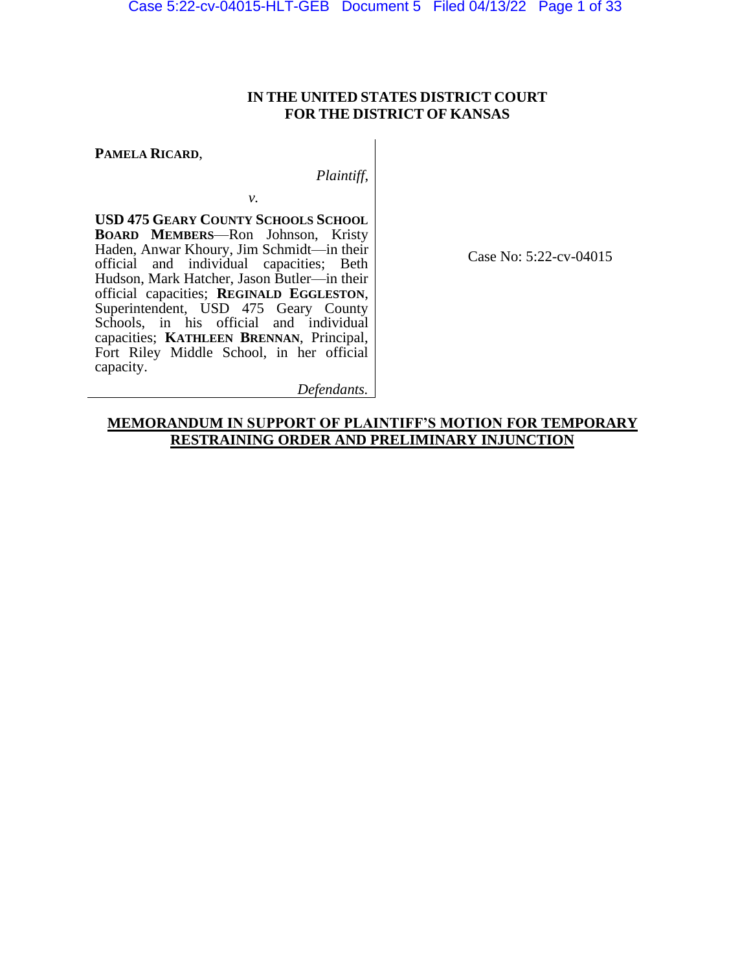# **IN THE UNITED STATES DISTRICT COURT FOR THE DISTRICT OF KANSAS**

**PAMELA RICARD**,

*Plaintiff*,

**USD 475 GEARY COUNTY SCHOOLS SCHOOL BOARD MEMBERS**—Ron Johnson, Kristy Haden, Anwar Khoury, Jim Schmidt—in their official and individual capacities; Beth Hudson, Mark Hatcher, Jason Butler—in their official capacities; **REGINALD EGGLESTON**, Superintendent, USD 475 Geary County Schools, in his official and individual capacities; **KATHLEEN BRENNAN**, Principal, Fort Riley Middle School, in her official capacity.

*v.*

Case No: 5:22-cv-04015

*Defendants.*

# **MEMORANDUM IN SUPPORT OF PLAINTIFF'S MOTION FOR TEMPORARY RESTRAINING ORDER AND PRELIMINARY INJUNCTION**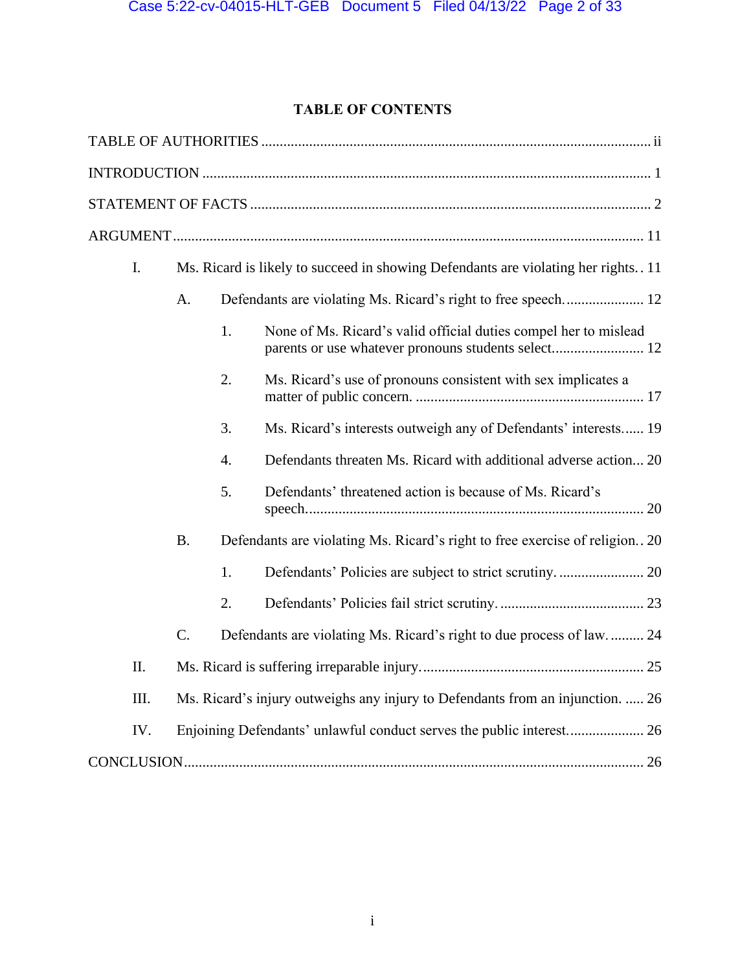# **TABLE OF CONTENTS**

| $\mathbf{I}$ . | Ms. Ricard is likely to succeed in showing Defendants are violating her rights. 11 |                                                                             |                                                                      |  |  |
|----------------|------------------------------------------------------------------------------------|-----------------------------------------------------------------------------|----------------------------------------------------------------------|--|--|
|                | A.                                                                                 |                                                                             |                                                                      |  |  |
|                |                                                                                    | 1.                                                                          | None of Ms. Ricard's valid official duties compel her to mislead     |  |  |
|                |                                                                                    | 2.                                                                          | Ms. Ricard's use of pronouns consistent with sex implicates a        |  |  |
|                |                                                                                    | 3.                                                                          | Ms. Ricard's interests outweigh any of Defendants' interests 19      |  |  |
|                |                                                                                    | $\overline{4}$ .                                                            | Defendants threaten Ms. Ricard with additional adverse action 20     |  |  |
|                |                                                                                    | 5.                                                                          | Defendants' threatened action is because of Ms. Ricard's             |  |  |
|                | <b>B.</b>                                                                          | Defendants are violating Ms. Ricard's right to free exercise of religion 20 |                                                                      |  |  |
|                |                                                                                    | 1.                                                                          |                                                                      |  |  |
|                |                                                                                    | 2.                                                                          |                                                                      |  |  |
|                | $\mathcal{C}$ .                                                                    |                                                                             | Defendants are violating Ms. Ricard's right to due process of law 24 |  |  |
| II.            |                                                                                    |                                                                             |                                                                      |  |  |
| III.           | Ms. Ricard's injury outweighs any injury to Defendants from an injunction.  26     |                                                                             |                                                                      |  |  |
| IV.            |                                                                                    |                                                                             |                                                                      |  |  |
|                |                                                                                    |                                                                             |                                                                      |  |  |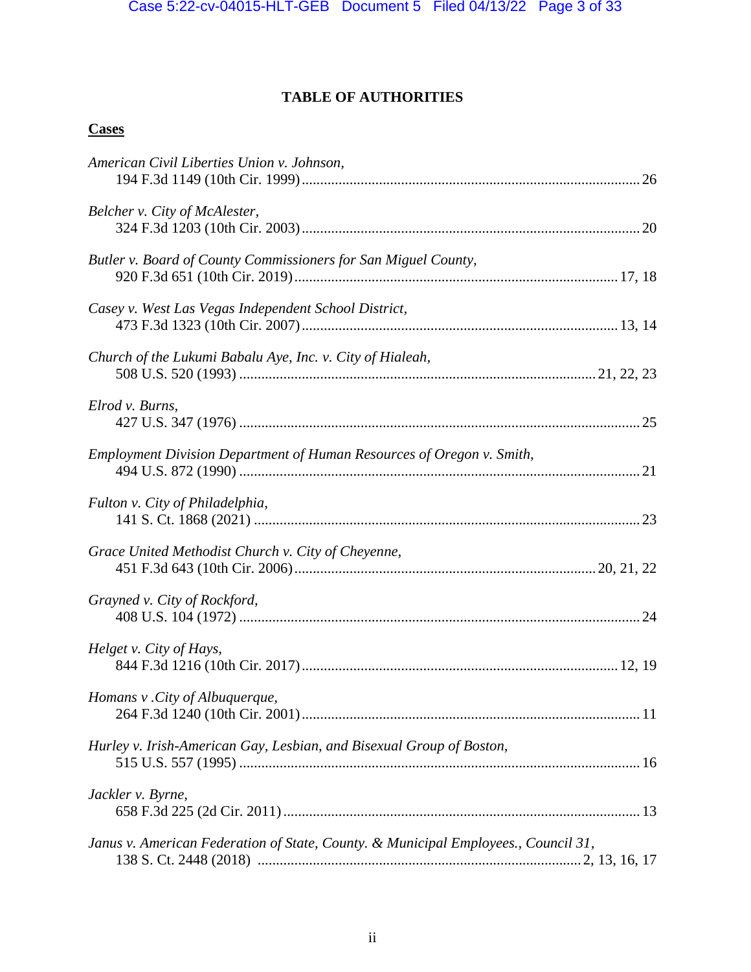# **TABLE OF AUTHORITIES**

# <span id="page-2-0"></span>**Cases**

| American Civil Liberties Union v. Johnson,                                         |  |
|------------------------------------------------------------------------------------|--|
| Belcher v. City of McAlester,                                                      |  |
| Butler v. Board of County Commissioners for San Miguel County,                     |  |
| Casey v. West Las Vegas Independent School District,                               |  |
| Church of the Lukumi Babalu Aye, Inc. v. City of Hialeah,                          |  |
| Elrod v. Burns,                                                                    |  |
| Employment Division Department of Human Resources of Oregon v. Smith,              |  |
| Fulton v. City of Philadelphia,                                                    |  |
| Grace United Methodist Church v. City of Cheyenne,                                 |  |
| Grayned v. City of Rockford,                                                       |  |
| Helget v. City of Hays,                                                            |  |
| Homans v.City of Albuquerque,                                                      |  |
| Hurley v. Irish-American Gay, Lesbian, and Bisexual Group of Boston,               |  |
| Jackler v. Byrne,                                                                  |  |
| Janus v. American Federation of State, County. & Municipal Employees., Council 31, |  |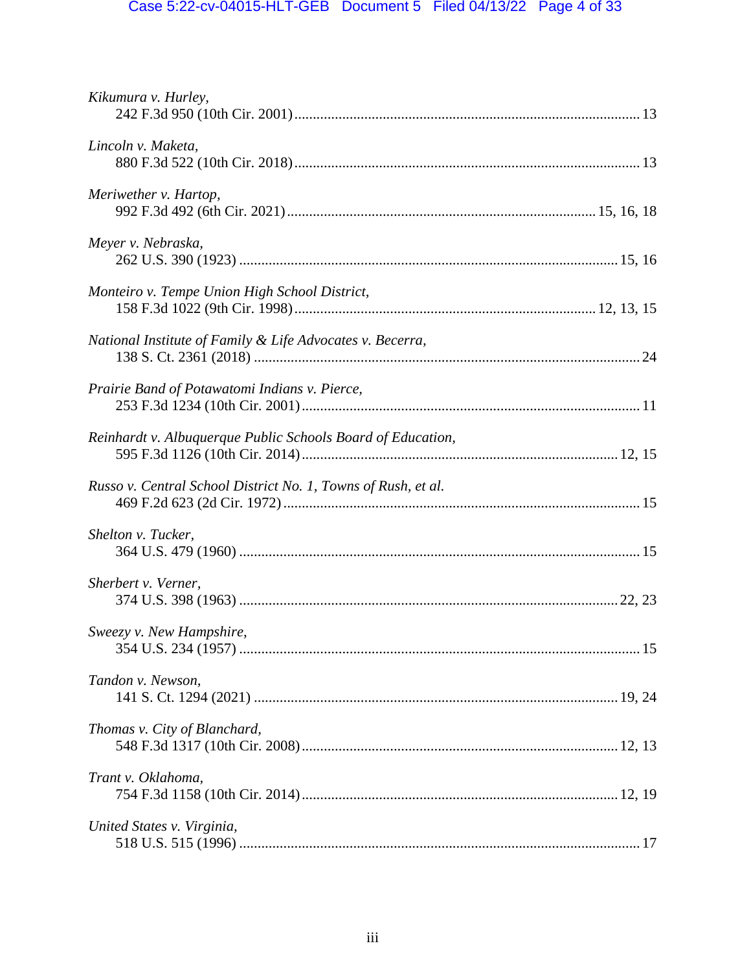| Kikumura v. Hurley,                                           |  |
|---------------------------------------------------------------|--|
| Lincoln v. Maketa,                                            |  |
| Meriwether v. Hartop,                                         |  |
| Meyer v. Nebraska,                                            |  |
| Monteiro v. Tempe Union High School District,                 |  |
| National Institute of Family & Life Advocates v. Becerra,     |  |
| Prairie Band of Potawatomi Indians v. Pierce,                 |  |
| Reinhardt v. Albuquerque Public Schools Board of Education,   |  |
| Russo v. Central School District No. 1, Towns of Rush, et al. |  |
| Shelton v. Tucker,                                            |  |
| Sherbert v. Verner,                                           |  |
| Sweezy v. New Hampshire,                                      |  |
| Tandon v. Newson,                                             |  |
| Thomas v. City of Blanchard,                                  |  |
| Trant v. Oklahoma,                                            |  |
| United States v. Virginia,                                    |  |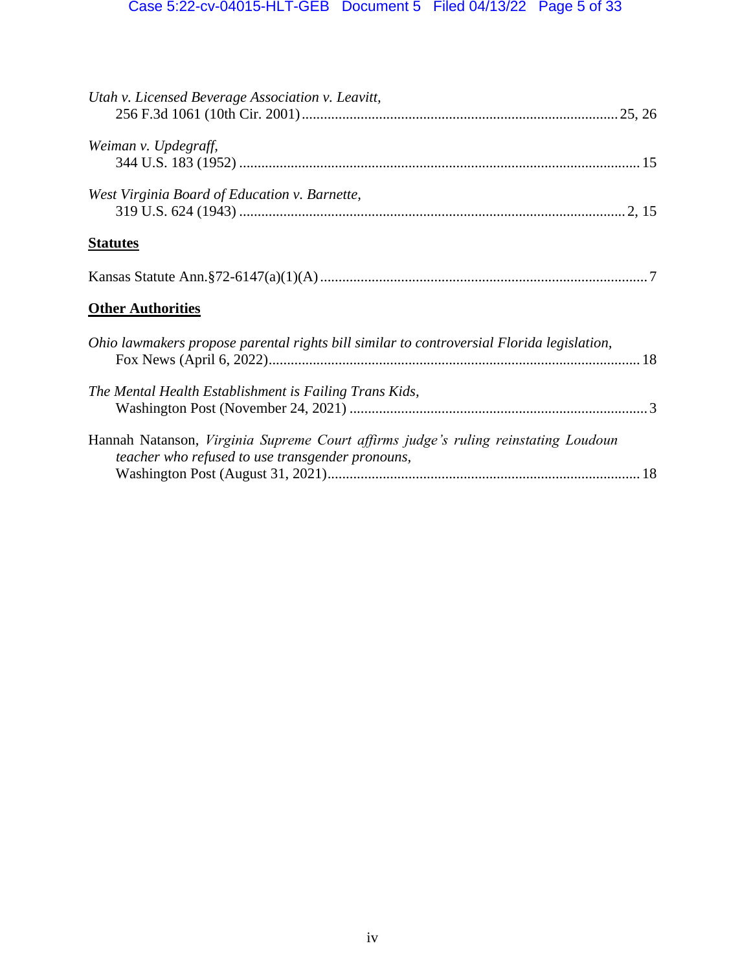| Utah v. Licensed Beverage Association v. Leavitt,                                                                                      |
|----------------------------------------------------------------------------------------------------------------------------------------|
| Weiman v. Updegraff,                                                                                                                   |
| West Virginia Board of Education v. Barnette,                                                                                          |
| <b>Statutes</b>                                                                                                                        |
|                                                                                                                                        |
| <b>Other Authorities</b>                                                                                                               |
| Ohio lawmakers propose parental rights bill similar to controversial Florida legislation,                                              |
| The Mental Health Establishment is Failing Trans Kids,                                                                                 |
| Hannah Natanson, Virginia Supreme Court affirms judge's ruling reinstating Loudoun<br>teacher who refused to use transgender pronouns, |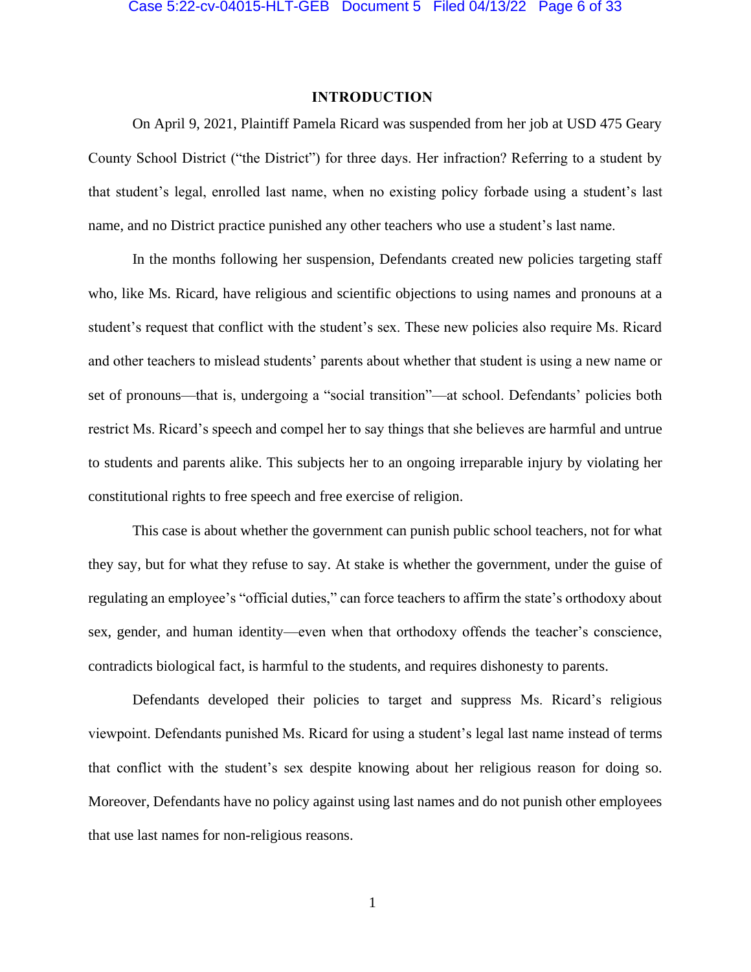# **INTRODUCTION**

<span id="page-5-0"></span>On April 9, 2021, Plaintiff Pamela Ricard was suspended from her job at USD 475 Geary County School District ("the District") for three days. Her infraction? Referring to a student by that student's legal, enrolled last name, when no existing policy forbade using a student's last name, and no District practice punished any other teachers who use a student's last name.

In the months following her suspension, Defendants created new policies targeting staff who, like Ms. Ricard, have religious and scientific objections to using names and pronouns at a student's request that conflict with the student's sex. These new policies also require Ms. Ricard and other teachers to mislead students' parents about whether that student is using a new name or set of pronouns—that is, undergoing a "social transition"—at school. Defendants' policies both restrict Ms. Ricard's speech and compel her to say things that she believes are harmful and untrue to students and parents alike. This subjects her to an ongoing irreparable injury by violating her constitutional rights to free speech and free exercise of religion.

This case is about whether the government can punish public school teachers, not for what they say, but for what they refuse to say. At stake is whether the government, under the guise of regulating an employee's "official duties," can force teachers to affirm the state's orthodoxy about sex, gender, and human identity—even when that orthodoxy offends the teacher's conscience, contradicts biological fact, is harmful to the students, and requires dishonesty to parents.

Defendants developed their policies to target and suppress Ms. Ricard's religious viewpoint. Defendants punished Ms. Ricard for using a student's legal last name instead of terms that conflict with the student's sex despite knowing about her religious reason for doing so. Moreover, Defendants have no policy against using last names and do not punish other employees that use last names for non-religious reasons.

1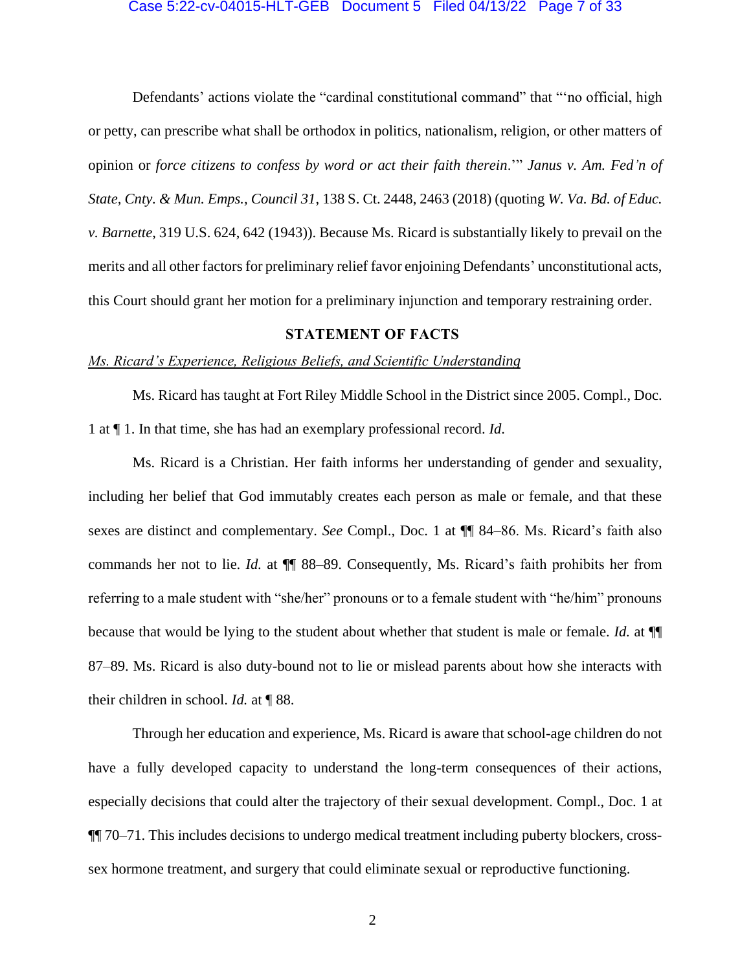#### Case 5:22-cv-04015-HLT-GEB Document 5 Filed 04/13/22 Page 7 of 33

Defendants' actions violate the "cardinal constitutional command" that "'no official, high or petty, can prescribe what shall be orthodox in politics, nationalism, religion, or other matters of opinion or *force citizens to confess by word or act their faith therein*.'" *Janus v. Am. Fed'n of State, Cnty. & Mun. Emps., Council 31*, 138 S. Ct. 2448, 2463 (2018) (quoting *W. Va. Bd. of Educ. v. Barnette*, 319 U.S. 624, 642 (1943)). Because Ms. Ricard is substantially likely to prevail on the merits and all other factors for preliminary relief favor enjoining Defendants' unconstitutional acts, this Court should grant her motion for a preliminary injunction and temporary restraining order.

## **STATEMENT OF FACTS**

#### <span id="page-6-0"></span>*Ms. Ricard's Experience, Religious Beliefs, and Scientific Understanding*

Ms. Ricard has taught at Fort Riley Middle School in the District since 2005. Compl., Doc. 1 at ¶ 1. In that time, she has had an exemplary professional record. *Id*.

Ms. Ricard is a Christian. Her faith informs her understanding of gender and sexuality, including her belief that God immutably creates each person as male or female, and that these sexes are distinct and complementary. *See* Compl., Doc. 1 at ¶¶ 84–86. Ms. Ricard's faith also commands her not to lie. *Id.* at ¶¶ 88–89. Consequently, Ms. Ricard's faith prohibits her from referring to a male student with "she/her" pronouns or to a female student with "he/him" pronouns because that would be lying to the student about whether that student is male or female. *Id.* at ¶¶ 87–89. Ms. Ricard is also duty-bound not to lie or mislead parents about how she interacts with their children in school. *Id.* at ¶ 88.

Through her education and experience, Ms. Ricard is aware that school-age children do not have a fully developed capacity to understand the long-term consequences of their actions, especially decisions that could alter the trajectory of their sexual development. Compl., Doc. 1 at ¶¶ 70–71. This includes decisions to undergo medical treatment including puberty blockers, crosssex hormone treatment, and surgery that could eliminate sexual or reproductive functioning.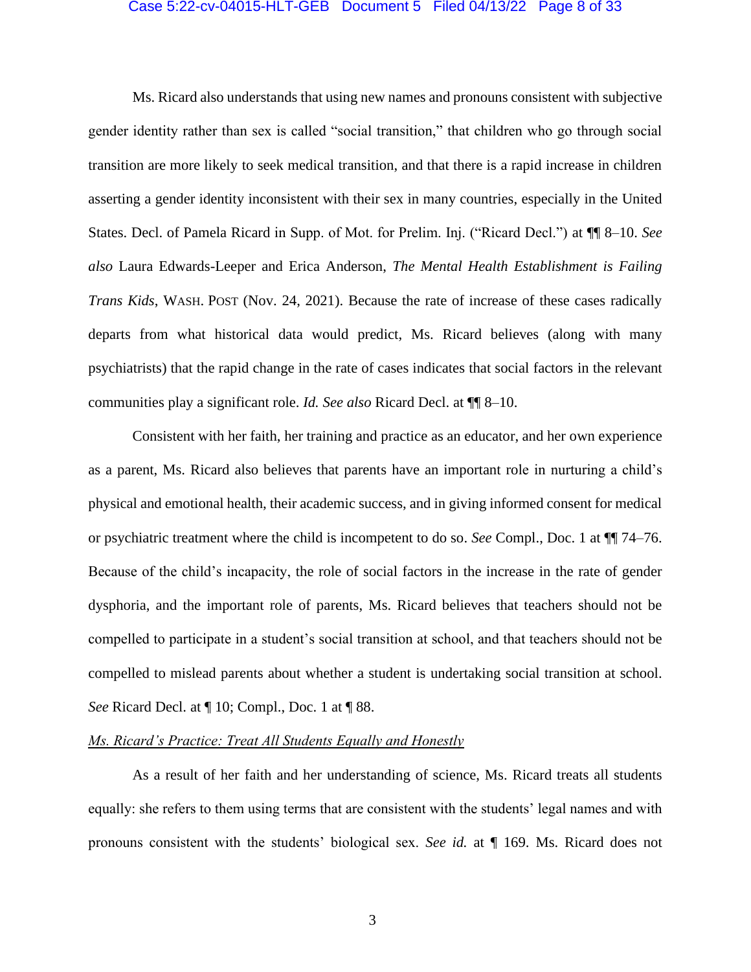#### Case 5:22-cv-04015-HLT-GEB Document 5 Filed 04/13/22 Page 8 of 33

Ms. Ricard also understands that using new names and pronouns consistent with subjective gender identity rather than sex is called "social transition," that children who go through social transition are more likely to seek medical transition, and that there is a rapid increase in children asserting a gender identity inconsistent with their sex in many countries, especially in the United States. Decl. of Pamela Ricard in Supp. of Mot. for Prelim. Inj. ("Ricard Decl.") at ¶¶ 8–10. *See also* Laura Edwards-Leeper and Erica Anderson, *The Mental Health Establishment is Failing Trans Kids*, WASH. POST (Nov. 24, 2021). Because the rate of increase of these cases radically departs from what historical data would predict, Ms. Ricard believes (along with many psychiatrists) that the rapid change in the rate of cases indicates that social factors in the relevant communities play a significant role. *Id. See also* Ricard Decl. at ¶¶ 8–10.

Consistent with her faith, her training and practice as an educator, and her own experience as a parent, Ms. Ricard also believes that parents have an important role in nurturing a child's physical and emotional health, their academic success, and in giving informed consent for medical or psychiatric treatment where the child is incompetent to do so. *See* Compl., Doc. 1 at ¶¶ 74–76. Because of the child's incapacity, the role of social factors in the increase in the rate of gender dysphoria, and the important role of parents, Ms. Ricard believes that teachers should not be compelled to participate in a student's social transition at school, and that teachers should not be compelled to mislead parents about whether a student is undertaking social transition at school. *See* Ricard Decl. at ¶ 10; Compl., Doc. 1 at ¶ 88.

#### *Ms. Ricard's Practice: Treat All Students Equally and Honestly*

As a result of her faith and her understanding of science, Ms. Ricard treats all students equally: she refers to them using terms that are consistent with the students' legal names and with pronouns consistent with the students' biological sex. *See id.* at ¶ 169. Ms. Ricard does not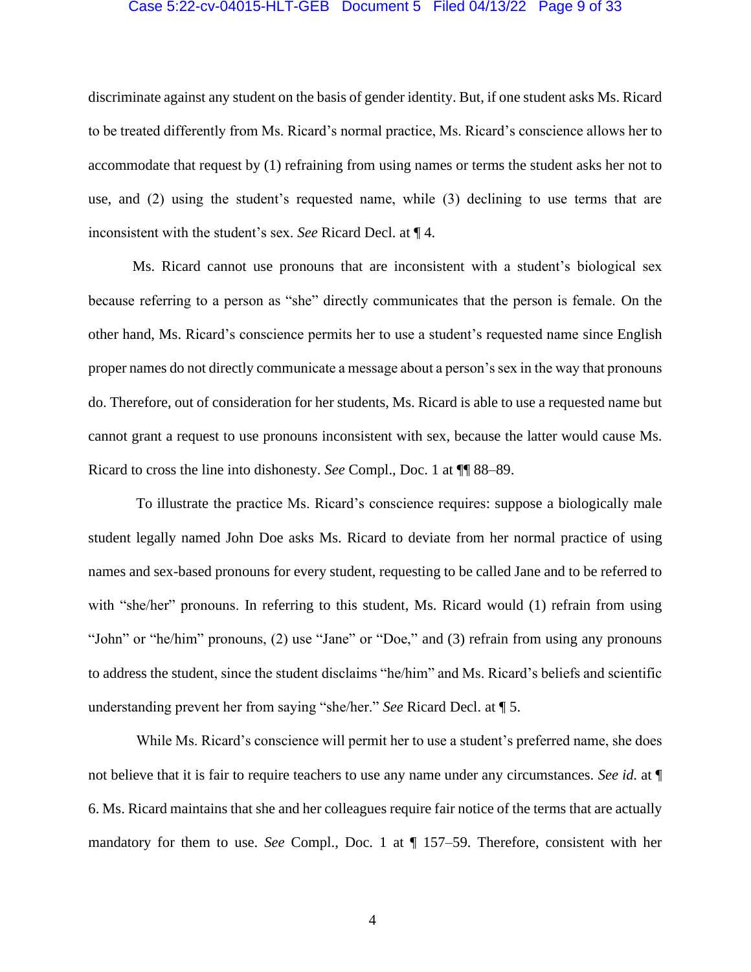#### Case 5:22-cv-04015-HLT-GEB Document 5 Filed 04/13/22 Page 9 of 33

discriminate against any student on the basis of gender identity. But, if one student asks Ms. Ricard to be treated differently from Ms. Ricard's normal practice, Ms. Ricard's conscience allows her to accommodate that request by (1) refraining from using names or terms the student asks her not to use, and (2) using the student's requested name, while (3) declining to use terms that are inconsistent with the student's sex. *See* Ricard Decl. at ¶ 4.

Ms. Ricard cannot use pronouns that are inconsistent with a student's biological sex because referring to a person as "she" directly communicates that the person is female. On the other hand, Ms. Ricard's conscience permits her to use a student's requested name since English proper names do not directly communicate a message about a person's sex in the way that pronouns do. Therefore, out of consideration for her students, Ms. Ricard is able to use a requested name but cannot grant a request to use pronouns inconsistent with sex, because the latter would cause Ms. Ricard to cross the line into dishonesty. *See* Compl., Doc. 1 at ¶¶ 88–89.

To illustrate the practice Ms. Ricard's conscience requires: suppose a biologically male student legally named John Doe asks Ms. Ricard to deviate from her normal practice of using names and sex-based pronouns for every student, requesting to be called Jane and to be referred to with "she/her" pronouns. In referring to this student, Ms. Ricard would (1) refrain from using "John" or "he/him" pronouns, (2) use "Jane" or "Doe," and (3) refrain from using any pronouns to address the student, since the student disclaims "he/him" and Ms. Ricard's beliefs and scientific understanding prevent her from saying "she/her." *See* Ricard Decl. at ¶ 5.

While Ms. Ricard's conscience will permit her to use a student's preferred name, she does not believe that it is fair to require teachers to use any name under any circumstances. *See id.* at ¶ 6. Ms. Ricard maintains that she and her colleagues require fair notice of the terms that are actually mandatory for them to use. *See* Compl., Doc. 1 at ¶ 157–59. Therefore, consistent with her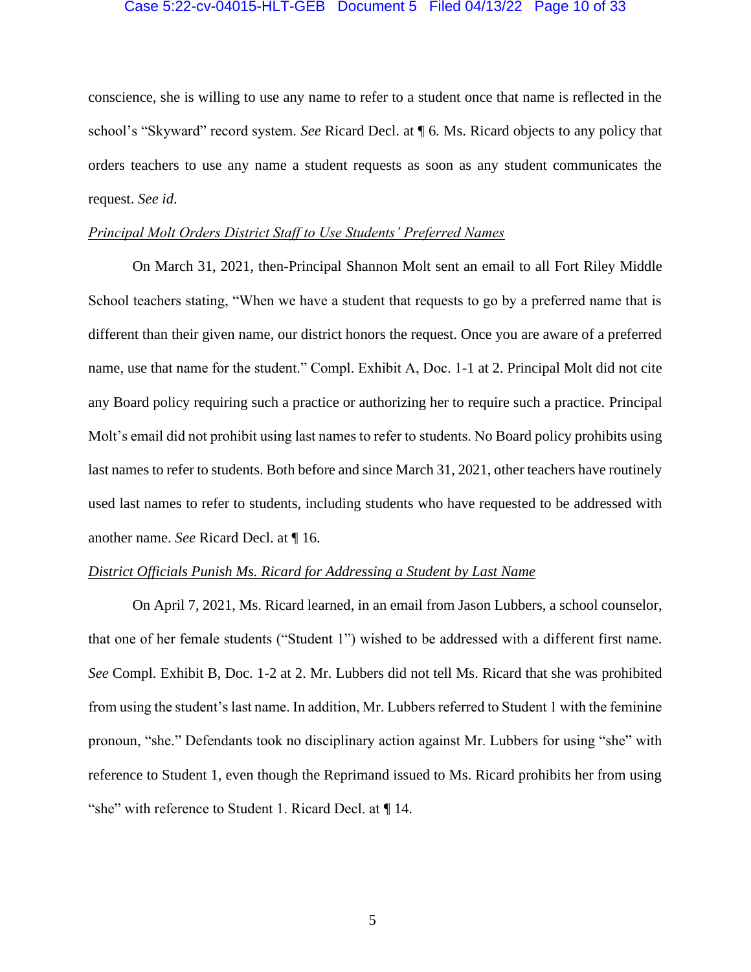#### Case 5:22-cv-04015-HLT-GEB Document 5 Filed 04/13/22 Page 10 of 33

conscience, she is willing to use any name to refer to a student once that name is reflected in the school's "Skyward" record system. *See* Ricard Decl. at ¶ 6*.* Ms. Ricard objects to any policy that orders teachers to use any name a student requests as soon as any student communicates the request. *See id*.

# *Principal Molt Orders District Staff to Use Students' Preferred Names*

On March 31, 2021, then-Principal Shannon Molt sent an email to all Fort Riley Middle School teachers stating, "When we have a student that requests to go by a preferred name that is different than their given name, our district honors the request. Once you are aware of a preferred name, use that name for the student." Compl. Exhibit A, Doc. 1-1 at 2. Principal Molt did not cite any Board policy requiring such a practice or authorizing her to require such a practice. Principal Molt's email did not prohibit using last names to refer to students. No Board policy prohibits using last names to refer to students. Both before and since March 31, 2021, other teachers have routinely used last names to refer to students, including students who have requested to be addressed with another name. *See* Ricard Decl. at ¶ 16.

#### *District Officials Punish Ms. Ricard for Addressing a Student by Last Name*

On April 7, 2021, Ms. Ricard learned, in an email from Jason Lubbers, a school counselor, that one of her female students ("Student 1") wished to be addressed with a different first name. *See* Compl. Exhibit B, Doc. 1-2 at 2. Mr. Lubbers did not tell Ms. Ricard that she was prohibited from using the student's last name. In addition, Mr. Lubbers referred to Student 1 with the feminine pronoun, "she." Defendants took no disciplinary action against Mr. Lubbers for using "she" with reference to Student 1, even though the Reprimand issued to Ms. Ricard prohibits her from using "she" with reference to Student 1. Ricard Decl. at ¶ 14.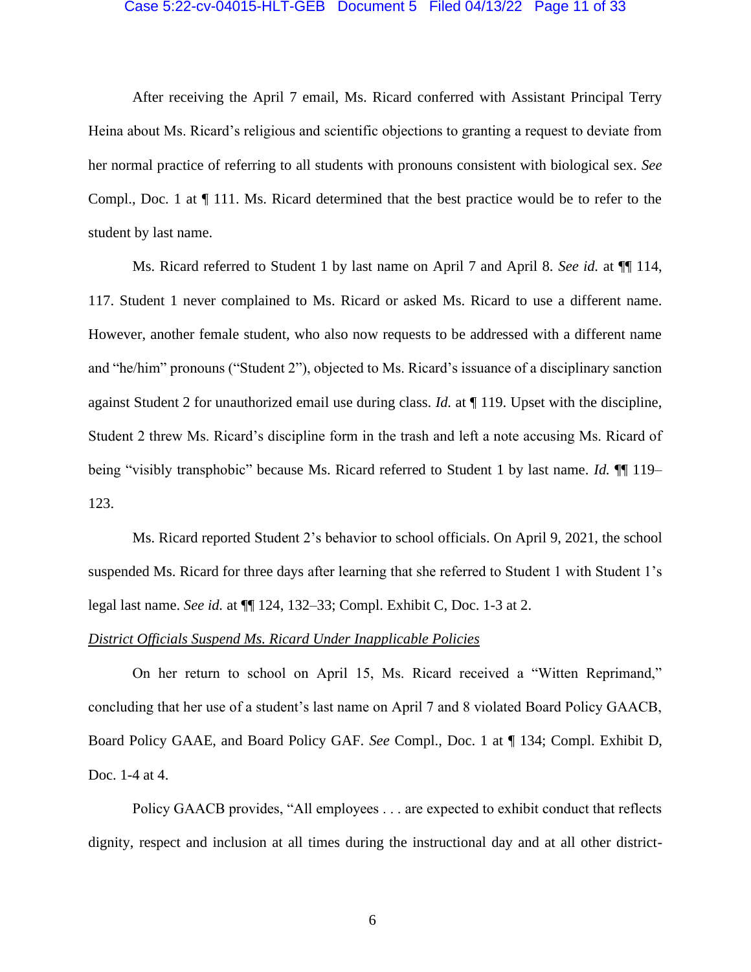#### Case 5:22-cv-04015-HLT-GEB Document 5 Filed 04/13/22 Page 11 of 33

After receiving the April 7 email, Ms. Ricard conferred with Assistant Principal Terry Heina about Ms. Ricard's religious and scientific objections to granting a request to deviate from her normal practice of referring to all students with pronouns consistent with biological sex. *See* Compl., Doc. 1 at ¶ 111. Ms. Ricard determined that the best practice would be to refer to the student by last name.

Ms. Ricard referred to Student 1 by last name on April 7 and April 8. *See id.* at ¶¶ 114, 117. Student 1 never complained to Ms. Ricard or asked Ms. Ricard to use a different name. However, another female student, who also now requests to be addressed with a different name and "he/him" pronouns ("Student 2"), objected to Ms. Ricard's issuance of a disciplinary sanction against Student 2 for unauthorized email use during class. *Id.* at ¶ 119. Upset with the discipline, Student 2 threw Ms. Ricard's discipline form in the trash and left a note accusing Ms. Ricard of being "visibly transphobic" because Ms. Ricard referred to Student 1 by last name. *Id.* ¶¶ 119– 123.

Ms. Ricard reported Student 2's behavior to school officials. On April 9, 2021, the school suspended Ms. Ricard for three days after learning that she referred to Student 1 with Student 1's legal last name. *See id.* at ¶¶ 124, 132–33; Compl. Exhibit C, Doc. 1-3 at 2.

### *District Officials Suspend Ms. Ricard Under Inapplicable Policies*

On her return to school on April 15, Ms. Ricard received a "Witten Reprimand," concluding that her use of a student's last name on April 7 and 8 violated Board Policy GAACB, Board Policy GAAE, and Board Policy GAF. *See* Compl., Doc. 1 at ¶ 134; Compl. Exhibit D, Doc. 1-4 at 4.

Policy GAACB provides, "All employees . . . are expected to exhibit conduct that reflects dignity, respect and inclusion at all times during the instructional day and at all other district-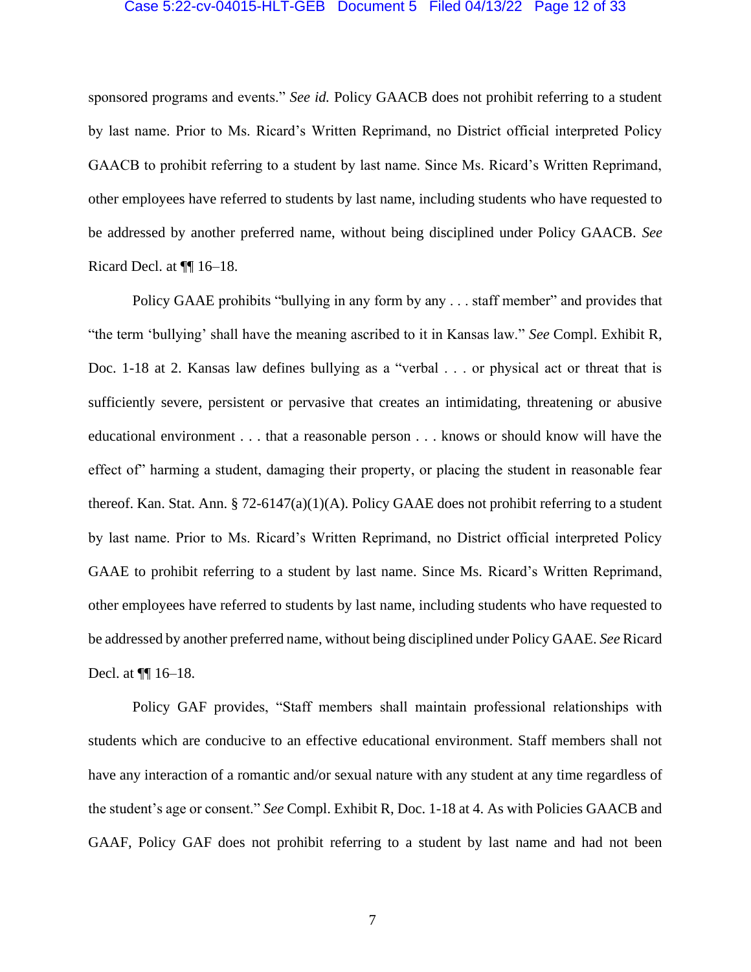#### Case 5:22-cv-04015-HLT-GEB Document 5 Filed 04/13/22 Page 12 of 33

sponsored programs and events." *See id.* Policy GAACB does not prohibit referring to a student by last name. Prior to Ms. Ricard's Written Reprimand, no District official interpreted Policy GAACB to prohibit referring to a student by last name. Since Ms. Ricard's Written Reprimand, other employees have referred to students by last name, including students who have requested to be addressed by another preferred name, without being disciplined under Policy GAACB. *See*  Ricard Decl. at ¶¶ 16–18.

Policy GAAE prohibits "bullying in any form by any . . . staff member" and provides that "the term 'bullying' shall have the meaning ascribed to it in Kansas law." *See* Compl. Exhibit R, Doc. 1-18 at 2. Kansas law defines bullying as a "verbal . . . or physical act or threat that is sufficiently severe, persistent or pervasive that creates an intimidating, threatening or abusive educational environment . . . that a reasonable person . . . knows or should know will have the effect of" harming a student, damaging their property, or placing the student in reasonable fear thereof. Kan. Stat. Ann. § 72-6147(a)(1)(A). Policy GAAE does not prohibit referring to a student by last name. Prior to Ms. Ricard's Written Reprimand, no District official interpreted Policy GAAE to prohibit referring to a student by last name. Since Ms. Ricard's Written Reprimand, other employees have referred to students by last name, including students who have requested to be addressed by another preferred name, without being disciplined under Policy GAAE. *See* Ricard Decl. at ¶¶ 16–18.

Policy GAF provides, "Staff members shall maintain professional relationships with students which are conducive to an effective educational environment. Staff members shall not have any interaction of a romantic and/or sexual nature with any student at any time regardless of the student's age or consent." *See* Compl. Exhibit R, Doc. 1-18 at 4. As with Policies GAACB and GAAF, Policy GAF does not prohibit referring to a student by last name and had not been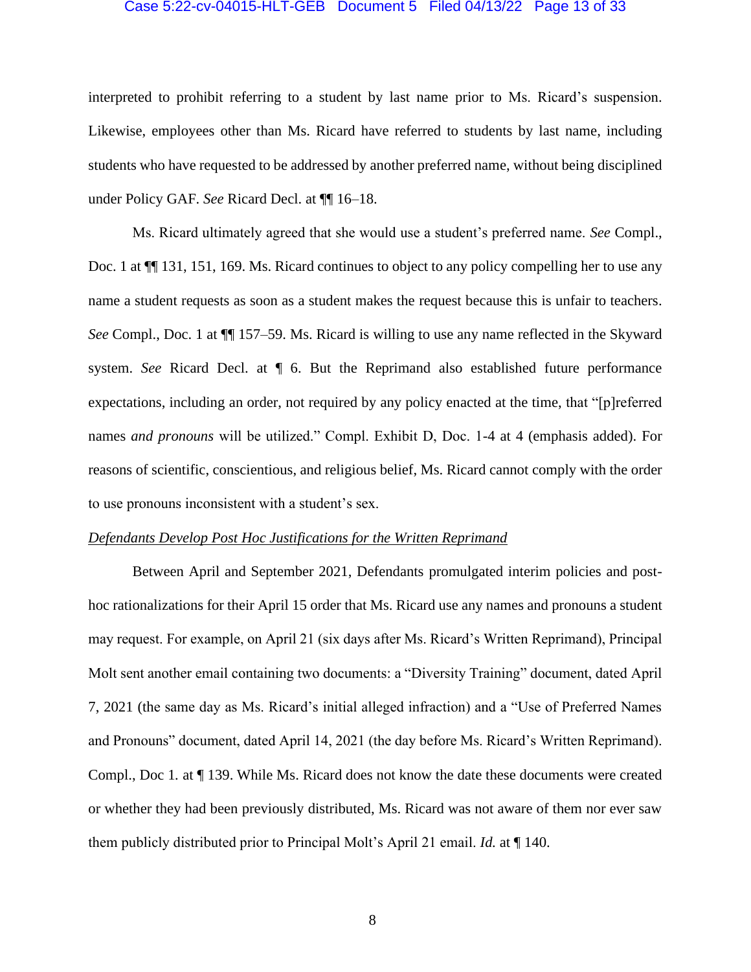#### Case 5:22-cv-04015-HLT-GEB Document 5 Filed 04/13/22 Page 13 of 33

interpreted to prohibit referring to a student by last name prior to Ms. Ricard's suspension. Likewise, employees other than Ms. Ricard have referred to students by last name, including students who have requested to be addressed by another preferred name, without being disciplined under Policy GAF. *See* Ricard Decl. at ¶¶ 16–18.

Ms. Ricard ultimately agreed that she would use a student's preferred name. *See* Compl., Doc. 1 at  $\P$  131, 151, 169. Ms. Ricard continues to object to any policy compelling her to use any name a student requests as soon as a student makes the request because this is unfair to teachers. *See* Compl., Doc. 1 at ¶¶ 157–59. Ms. Ricard is willing to use any name reflected in the Skyward system. *See* Ricard Decl. at ¶ 6. But the Reprimand also established future performance expectations, including an order, not required by any policy enacted at the time, that "[p]referred names *and pronouns* will be utilized." Compl. Exhibit D, Doc. 1-4 at 4 (emphasis added). For reasons of scientific, conscientious, and religious belief, Ms. Ricard cannot comply with the order to use pronouns inconsistent with a student's sex.

#### *Defendants Develop Post Hoc Justifications for the Written Reprimand*

Between April and September 2021, Defendants promulgated interim policies and posthoc rationalizations for their April 15 order that Ms. Ricard use any names and pronouns a student may request. For example, on April 21 (six days after Ms. Ricard's Written Reprimand), Principal Molt sent another email containing two documents: a "Diversity Training" document, dated April 7, 2021 (the same day as Ms. Ricard's initial alleged infraction) and a "Use of Preferred Names and Pronouns" document, dated April 14, 2021 (the day before Ms. Ricard's Written Reprimand). Compl., Doc 1*.* at ¶ 139. While Ms. Ricard does not know the date these documents were created or whether they had been previously distributed, Ms. Ricard was not aware of them nor ever saw them publicly distributed prior to Principal Molt's April 21 email. *Id.* at ¶ 140.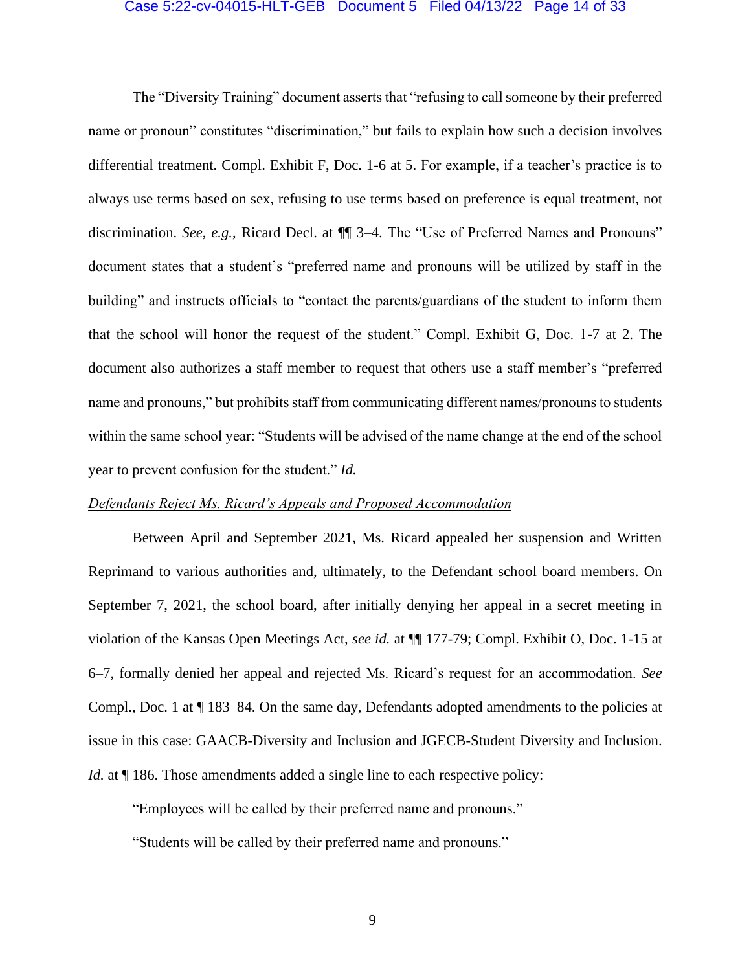#### Case 5:22-cv-04015-HLT-GEB Document 5 Filed 04/13/22 Page 14 of 33

The "Diversity Training" document asserts that "refusing to call someone by their preferred name or pronoun" constitutes "discrimination," but fails to explain how such a decision involves differential treatment. Compl. Exhibit F, Doc. 1-6 at 5. For example, if a teacher's practice is to always use terms based on sex, refusing to use terms based on preference is equal treatment, not discrimination. *See*, *e.g.*, Ricard Decl. at ¶¶ 3–4. The "Use of Preferred Names and Pronouns" document states that a student's "preferred name and pronouns will be utilized by staff in the building" and instructs officials to "contact the parents/guardians of the student to inform them that the school will honor the request of the student." Compl. Exhibit G, Doc. 1-7 at 2. The document also authorizes a staff member to request that others use a staff member's "preferred name and pronouns," but prohibits staff from communicating different names/pronouns to students within the same school year: "Students will be advised of the name change at the end of the school year to prevent confusion for the student." *Id.*

### *Defendants Reject Ms. Ricard's Appeals and Proposed Accommodation*

Between April and September 2021, Ms. Ricard appealed her suspension and Written Reprimand to various authorities and, ultimately, to the Defendant school board members. On September 7, 2021, the school board, after initially denying her appeal in a secret meeting in violation of the Kansas Open Meetings Act, *see id.* at ¶¶ 177-79; Compl. Exhibit O, Doc. 1-15 at 6–7, formally denied her appeal and rejected Ms. Ricard's request for an accommodation. *See* Compl., Doc. 1 at ¶ 183–84. On the same day, Defendants adopted amendments to the policies at issue in this case: GAACB-Diversity and Inclusion and JGECB-Student Diversity and Inclusion. *Id.* at  $\P$  186. Those amendments added a single line to each respective policy:

"Employees will be called by their preferred name and pronouns."

"Students will be called by their preferred name and pronouns."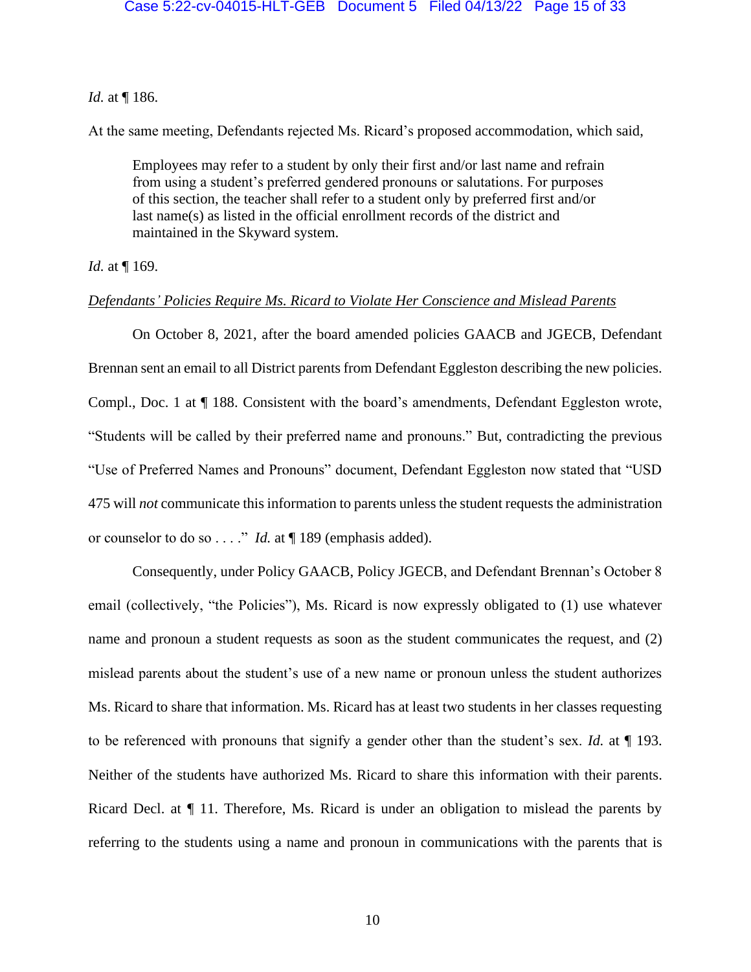### *Id.* at ¶ 186.

At the same meeting, Defendants rejected Ms. Ricard's proposed accommodation, which said,

Employees may refer to a student by only their first and/or last name and refrain from using a student's preferred gendered pronouns or salutations. For purposes of this section, the teacher shall refer to a student only by preferred first and/or last name(s) as listed in the official enrollment records of the district and maintained in the Skyward system.

## *Id.* at ¶ 169.

#### *Defendants' Policies Require Ms. Ricard to Violate Her Conscience and Mislead Parents*

On October 8, 2021, after the board amended policies GAACB and JGECB, Defendant Brennan sent an email to all District parents from Defendant Eggleston describing the new policies. Compl., Doc. 1 at ¶ 188. Consistent with the board's amendments, Defendant Eggleston wrote, "Students will be called by their preferred name and pronouns." But, contradicting the previous "Use of Preferred Names and Pronouns" document, Defendant Eggleston now stated that "USD 475 will *not* communicate this information to parents unless the student requests the administration or counselor to do so . . . ." *Id.* at ¶ 189 (emphasis added).

Consequently, under Policy GAACB, Policy JGECB, and Defendant Brennan's October 8 email (collectively, "the Policies"), Ms. Ricard is now expressly obligated to (1) use whatever name and pronoun a student requests as soon as the student communicates the request, and (2) mislead parents about the student's use of a new name or pronoun unless the student authorizes Ms. Ricard to share that information. Ms. Ricard has at least two students in her classes requesting to be referenced with pronouns that signify a gender other than the student's sex. *Id.* at ¶ 193. Neither of the students have authorized Ms. Ricard to share this information with their parents. Ricard Decl. at ¶ 11. Therefore, Ms. Ricard is under an obligation to mislead the parents by referring to the students using a name and pronoun in communications with the parents that is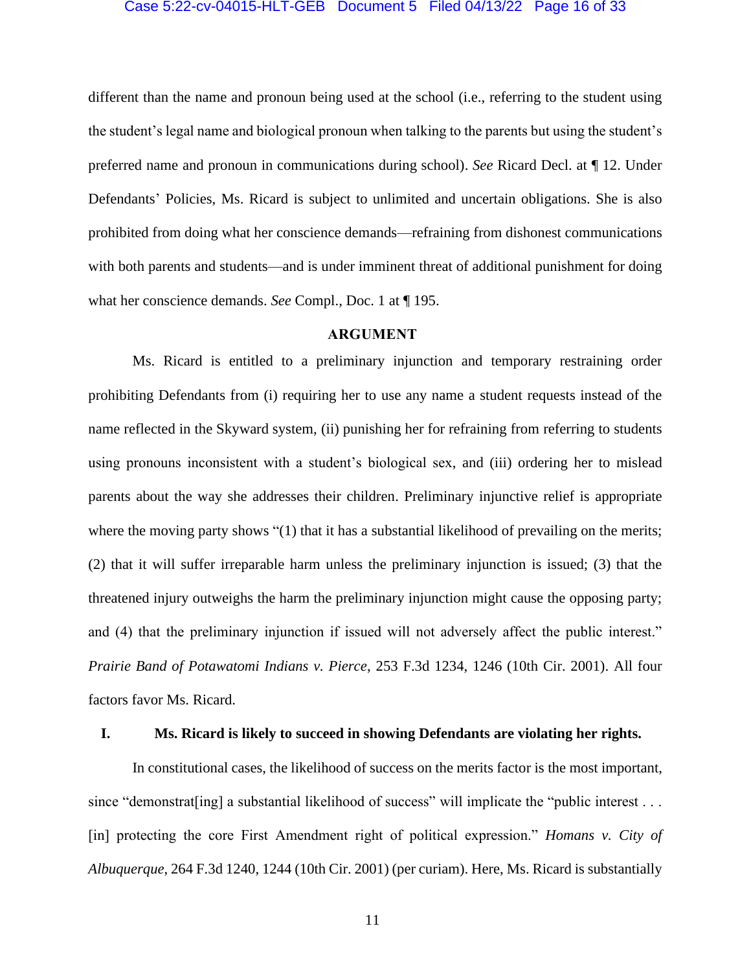# Case 5:22-cv-04015-HLT-GEB Document 5 Filed 04/13/22 Page 16 of 33

different than the name and pronoun being used at the school (i.e., referring to the student using the student's legal name and biological pronoun when talking to the parents but using the student's preferred name and pronoun in communications during school). *See* Ricard Decl. at ¶ 12. Under Defendants' Policies, Ms. Ricard is subject to unlimited and uncertain obligations. She is also prohibited from doing what her conscience demands—refraining from dishonest communications with both parents and students—and is under imminent threat of additional punishment for doing what her conscience demands. *See* Compl., Doc. 1 at ¶ 195.

#### **ARGUMENT**

<span id="page-15-0"></span>Ms. Ricard is entitled to a preliminary injunction and temporary restraining order prohibiting Defendants from (i) requiring her to use any name a student requests instead of the name reflected in the Skyward system, (ii) punishing her for refraining from referring to students using pronouns inconsistent with a student's biological sex, and (iii) ordering her to mislead parents about the way she addresses their children. Preliminary injunctive relief is appropriate where the moving party shows "(1) that it has a substantial likelihood of prevailing on the merits; (2) that it will suffer irreparable harm unless the preliminary injunction is issued; (3) that the threatened injury outweighs the harm the preliminary injunction might cause the opposing party; and (4) that the preliminary injunction if issued will not adversely affect the public interest." *Prairie Band of Potawatomi Indians v. Pierce*, 253 F.3d 1234, 1246 (10th Cir. 2001). All four factors favor Ms. Ricard.

#### <span id="page-15-1"></span>**I. Ms. Ricard is likely to succeed in showing Defendants are violating her rights.**

In constitutional cases, the likelihood of success on the merits factor is the most important, since "demonstrat[ing] a substantial likelihood of success" will implicate the "public interest . . . [in] protecting the core First Amendment right of political expression." *Homans v. City of Albuquerque*, 264 F.3d 1240, 1244 (10th Cir. 2001) (per curiam). Here, Ms. Ricard is substantially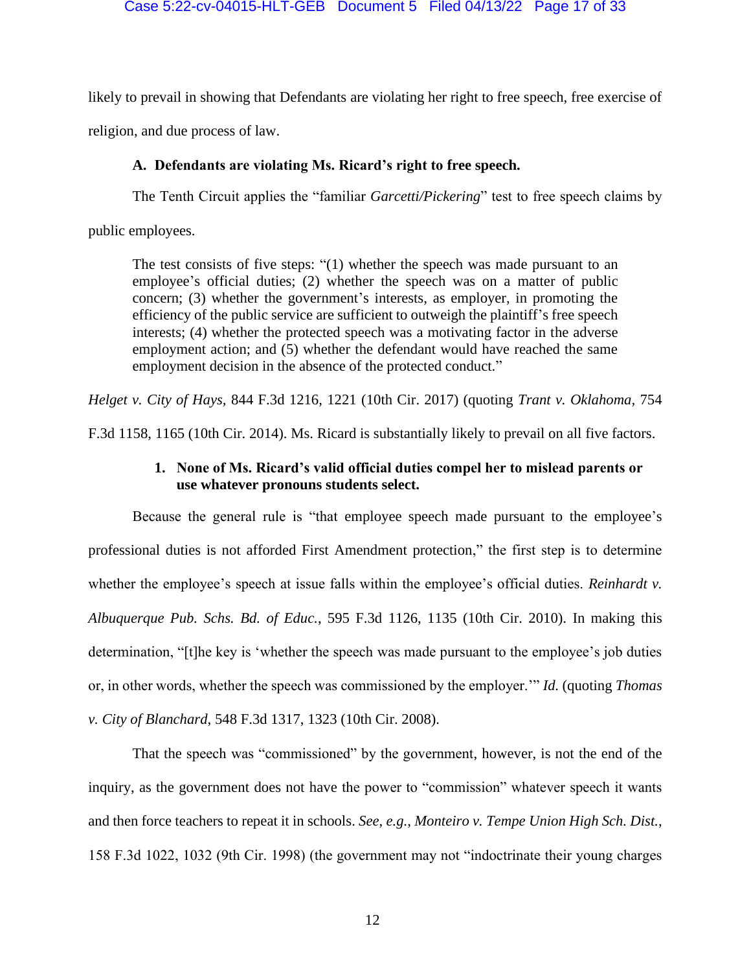likely to prevail in showing that Defendants are violating her right to free speech, free exercise of

<span id="page-16-0"></span>religion, and due process of law.

# **A. Defendants are violating Ms. Ricard's right to free speech.**

The Tenth Circuit applies the "familiar *Garcetti/Pickering*" test to free speech claims by

public employees.

The test consists of five steps: "(1) whether the speech was made pursuant to an employee's official duties; (2) whether the speech was on a matter of public concern; (3) whether the government's interests, as employer, in promoting the efficiency of the public service are sufficient to outweigh the plaintiff's free speech interests; (4) whether the protected speech was a motivating factor in the adverse employment action; and (5) whether the defendant would have reached the same employment decision in the absence of the protected conduct."

*Helget v. City of Hays,* 844 F.3d 1216, 1221 (10th Cir. 2017) (quoting *Trant v. Oklahoma*, 754

<span id="page-16-1"></span>F.3d 1158, 1165 (10th Cir. 2014). Ms. Ricard is substantially likely to prevail on all five factors.

# **1. None of Ms. Ricard's valid official duties compel her to mislead parents or use whatever pronouns students select.**

Because the general rule is "that employee speech made pursuant to the employee's professional duties is not afforded First Amendment protection," the first step is to determine whether the employee's speech at issue falls within the employee's official duties. *Reinhardt v. Albuquerque Pub. Schs. Bd. of Educ.*, 595 F.3d 1126, 1135 (10th Cir. 2010). In making this determination, "[t]he key is 'whether the speech was made pursuant to the employee's job duties or, in other words, whether the speech was commissioned by the employer.'" *Id.* (quoting *Thomas v. City of Blanchard*, 548 F.3d 1317, 1323 (10th Cir. 2008).

That the speech was "commissioned" by the government, however, is not the end of the inquiry, as the government does not have the power to "commission" whatever speech it wants and then force teachers to repeat it in schools. *See*, *e.g.*, *Monteiro v. Tempe Union High Sch. Dist.*, 158 F.3d 1022, 1032 (9th Cir. 1998) (the government may not "indoctrinate their young charges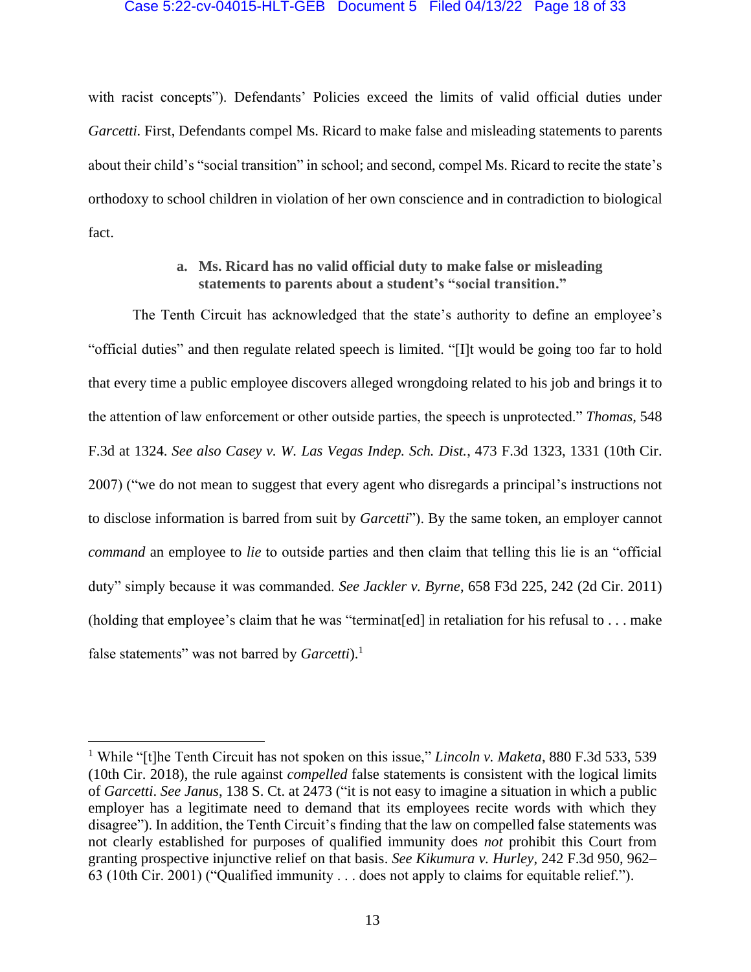#### Case 5:22-cv-04015-HLT-GEB Document 5 Filed 04/13/22 Page 18 of 33

with racist concepts"). Defendants' Policies exceed the limits of valid official duties under *Garcetti.* First, Defendants compel Ms. Ricard to make false and misleading statements to parents about their child's "social transition" in school; and second, compel Ms. Ricard to recite the state's orthodoxy to school children in violation of her own conscience and in contradiction to biological fact.

# **a. Ms. Ricard has no valid official duty to make false or misleading statements to parents about a student's "social transition."**

The Tenth Circuit has acknowledged that the state's authority to define an employee's "official duties" and then regulate related speech is limited. "[I]t would be going too far to hold that every time a public employee discovers alleged wrongdoing related to his job and brings it to the attention of law enforcement or other outside parties, the speech is unprotected." *Thomas*, 548 F.3d at 1324. *See also Casey v. W. Las Vegas Indep. Sch. Dist.*, 473 F.3d 1323, 1331 (10th Cir. 2007) ("we do not mean to suggest that every agent who disregards a principal's instructions not to disclose information is barred from suit by *Garcetti*"). By the same token, an employer cannot *command* an employee to *lie* to outside parties and then claim that telling this lie is an "official duty" simply because it was commanded. *See Jackler v. Byrne*, 658 F3d 225, 242 (2d Cir. 2011) (holding that employee's claim that he was "terminat[ed] in retaliation for his refusal to . . . make false statements" was not barred by *Garcetti*).<sup>1</sup>

<sup>1</sup> While "[t]he Tenth Circuit has not spoken on this issue," *Lincoln v. Maketa*, 880 F.3d 533, 539 (10th Cir. 2018), the rule against *compelled* false statements is consistent with the logical limits of *Garcetti*. *See Janus*, 138 S. Ct. at 2473 ("it is not easy to imagine a situation in which a public employer has a legitimate need to demand that its employees recite words with which they disagree"). In addition, the Tenth Circuit's finding that the law on compelled false statements was not clearly established for purposes of qualified immunity does *not* prohibit this Court from granting prospective injunctive relief on that basis. *See Kikumura v. Hurley*, 242 F.3d 950, 962– 63 (10th Cir. 2001) ("Qualified immunity . . . does not apply to claims for equitable relief.").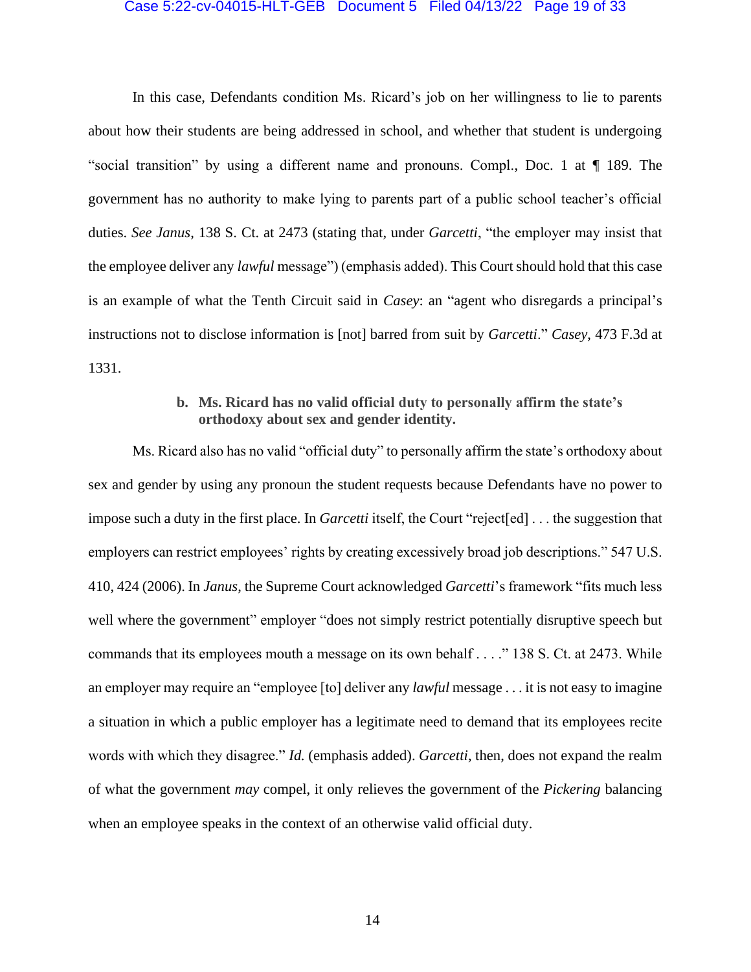#### Case 5:22-cv-04015-HLT-GEB Document 5 Filed 04/13/22 Page 19 of 33

In this case, Defendants condition Ms. Ricard's job on her willingness to lie to parents about how their students are being addressed in school, and whether that student is undergoing "social transition" by using a different name and pronouns. Compl., Doc. 1 at ¶ 189. The government has no authority to make lying to parents part of a public school teacher's official duties. *See Janus*, 138 S. Ct. at 2473 (stating that, under *Garcetti*, "the employer may insist that the employee deliver any *lawful* message") (emphasis added). This Court should hold that this case is an example of what the Tenth Circuit said in *Casey*: an "agent who disregards a principal's instructions not to disclose information is [not] barred from suit by *Garcetti*." *Casey*, 473 F.3d at 1331.

# **b. Ms. Ricard has no valid official duty to personally affirm the state's orthodoxy about sex and gender identity.**

Ms. Ricard also has no valid "official duty" to personally affirm the state's orthodoxy about sex and gender by using any pronoun the student requests because Defendants have no power to impose such a duty in the first place. In *Garcetti* itself, the Court "reject[ed] . . . the suggestion that employers can restrict employees' rights by creating excessively broad job descriptions." 547 U.S. 410, 424 (2006). In *Janus*, the Supreme Court acknowledged *Garcetti*'s framework "fits much less well where the government" employer "does not simply restrict potentially disruptive speech but commands that its employees mouth a message on its own behalf . . . ." 138 S. Ct. at 2473. While an employer may require an "employee [to] deliver any *lawful* message . . . it is not easy to imagine a situation in which a public employer has a legitimate need to demand that its employees recite words with which they disagree." *Id.* (emphasis added). *Garcetti*, then, does not expand the realm of what the government *may* compel, it only relieves the government of the *Pickering* balancing when an employee speaks in the context of an otherwise valid official duty.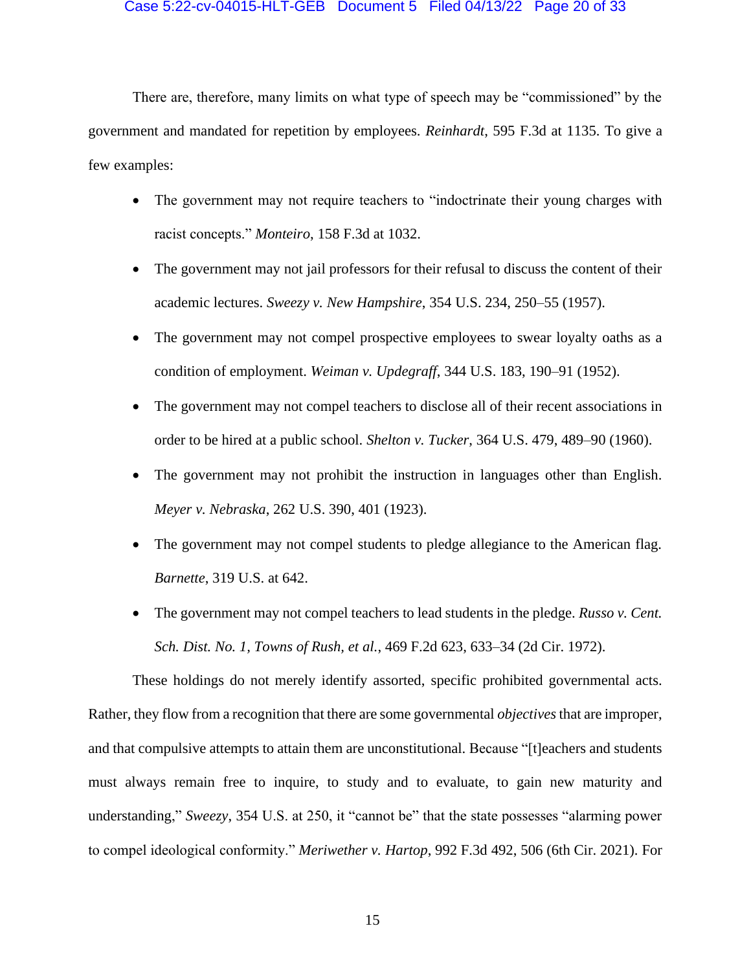#### Case 5:22-cv-04015-HLT-GEB Document 5 Filed 04/13/22 Page 20 of 33

There are, therefore, many limits on what type of speech may be "commissioned" by the government and mandated for repetition by employees. *Reinhardt*, 595 F.3d at 1135. To give a few examples:

- The government may not require teachers to "indoctrinate their young charges with racist concepts." *Monteiro*, 158 F.3d at 1032.
- The government may not jail professors for their refusal to discuss the content of their academic lectures. *Sweezy v. New Hampshire*, 354 U.S. 234, 250–55 (1957).
- The government may not compel prospective employees to swear loyalty oaths as a condition of employment. *Weiman v. Updegraff*, 344 U.S. 183, 190–91 (1952).
- The government may not compel teachers to disclose all of their recent associations in order to be hired at a public school. *Shelton v. Tucker*, 364 U.S. 479, 489–90 (1960).
- The government may not prohibit the instruction in languages other than English. *Meyer v. Nebraska*, 262 U.S. 390, 401 (1923).
- The government may not compel students to pledge allegiance to the American flag. *Barnette*, 319 U.S. at 642.
- The government may not compel teachers to lead students in the pledge. *Russo v. Cent. Sch. Dist. No. 1, Towns of Rush, et al.*, 469 F.2d 623, 633–34 (2d Cir. 1972).

These holdings do not merely identify assorted, specific prohibited governmental acts. Rather, they flow from a recognition that there are some governmental *objectives*that are improper, and that compulsive attempts to attain them are unconstitutional. Because "[t]eachers and students must always remain free to inquire, to study and to evaluate, to gain new maturity and understanding," *Sweezy*, 354 U.S. at 250, it "cannot be" that the state possesses "alarming power to compel ideological conformity." *Meriwether v. Hartop*, 992 F.3d 492, 506 (6th Cir. 2021). For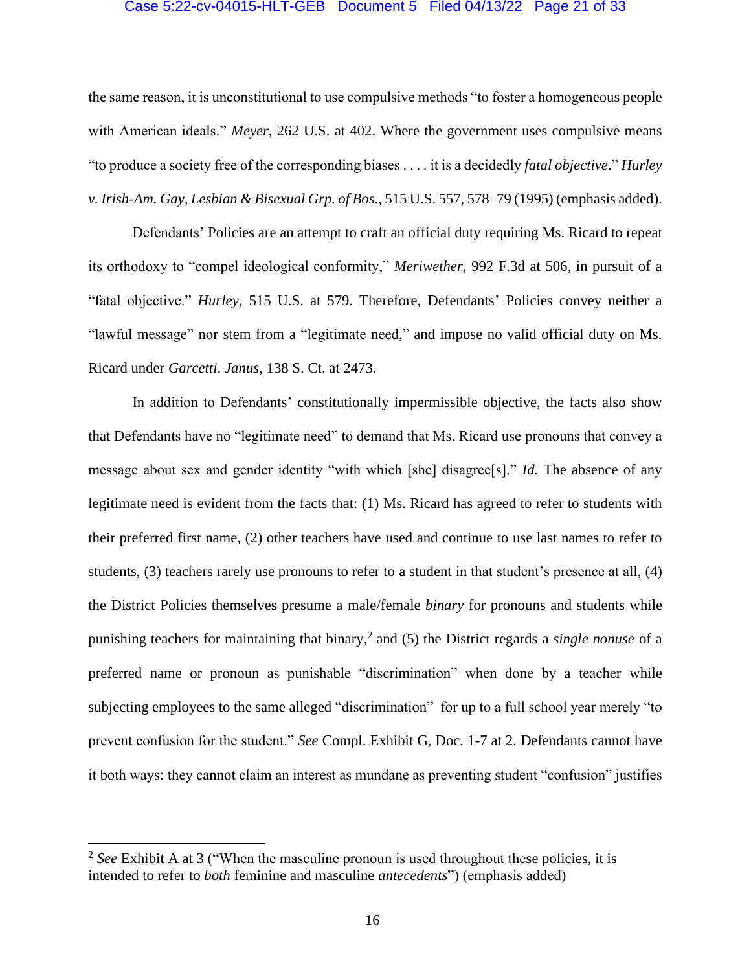#### Case 5:22-cv-04015-HLT-GEB Document 5 Filed 04/13/22 Page 21 of 33

the same reason, it is unconstitutional to use compulsive methods "to foster a homogeneous people with American ideals." *Meyer*, 262 U.S. at 402. Where the government uses compulsive means "to produce a society free of the corresponding biases . . . . it is a decidedly *fatal objective*." *Hurley v. Irish-Am. Gay, Lesbian & Bisexual Grp. of Bos.*, 515 U.S. 557, 578–79 (1995) (emphasis added).

Defendants' Policies are an attempt to craft an official duty requiring Ms. Ricard to repeat its orthodoxy to "compel ideological conformity," *Meriwether*, 992 F.3d at 506, in pursuit of a "fatal objective." *Hurley*, 515 U.S. at 579. Therefore, Defendants' Policies convey neither a "lawful message" nor stem from a "legitimate need," and impose no valid official duty on Ms. Ricard under *Garcetti*. *Janus*, 138 S. Ct. at 2473.

In addition to Defendants' constitutionally impermissible objective, the facts also show that Defendants have no "legitimate need" to demand that Ms. Ricard use pronouns that convey a message about sex and gender identity "with which [she] disagree[s]." *Id.* The absence of any legitimate need is evident from the facts that: (1) Ms. Ricard has agreed to refer to students with their preferred first name, (2) other teachers have used and continue to use last names to refer to students, (3) teachers rarely use pronouns to refer to a student in that student's presence at all, (4) the District Policies themselves presume a male/female *binary* for pronouns and students while punishing teachers for maintaining that binary, 2 and (5) the District regards a *single nonuse* of a preferred name or pronoun as punishable "discrimination" when done by a teacher while subjecting employees to the same alleged "discrimination" for up to a full school year merely "to prevent confusion for the student." *See* Compl. Exhibit G, Doc. 1-7 at 2. Defendants cannot have it both ways: they cannot claim an interest as mundane as preventing student "confusion" justifies

<sup>&</sup>lt;sup>2</sup> See Exhibit A at 3 ("When the masculine pronoun is used throughout these policies, it is intended to refer to *both* feminine and masculine *antecedents*") (emphasis added)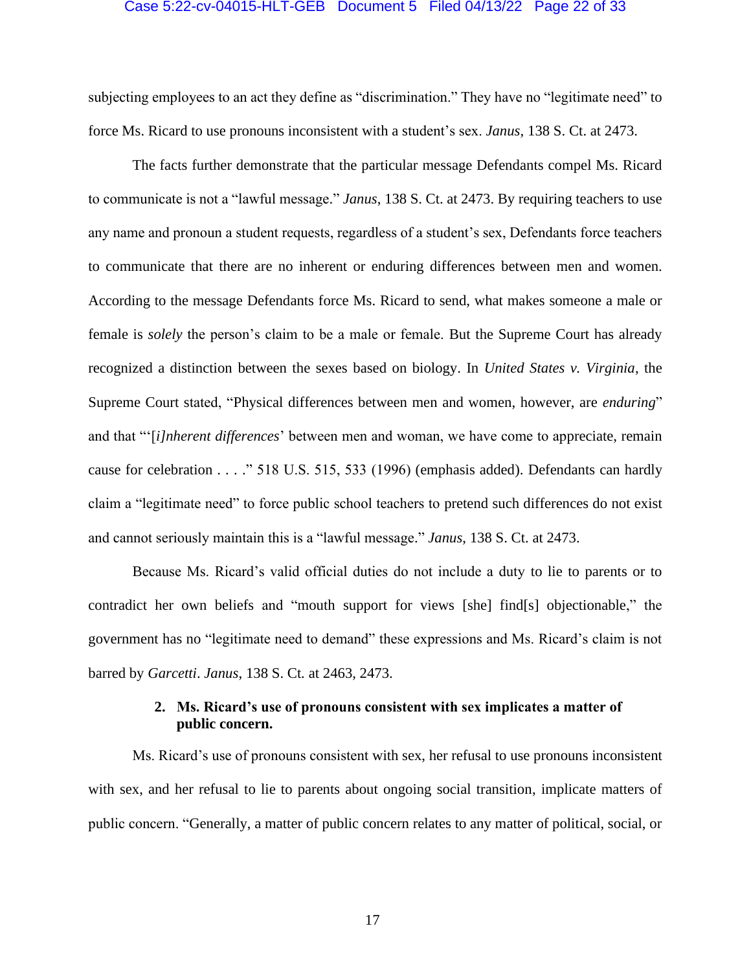#### Case 5:22-cv-04015-HLT-GEB Document 5 Filed 04/13/22 Page 22 of 33

subjecting employees to an act they define as "discrimination." They have no "legitimate need" to force Ms. Ricard to use pronouns inconsistent with a student's sex. *Janus*, 138 S. Ct. at 2473.

The facts further demonstrate that the particular message Defendants compel Ms. Ricard to communicate is not a "lawful message." *Janus*, 138 S. Ct. at 2473. By requiring teachers to use any name and pronoun a student requests, regardless of a student's sex, Defendants force teachers to communicate that there are no inherent or enduring differences between men and women. According to the message Defendants force Ms. Ricard to send, what makes someone a male or female is *solely* the person's claim to be a male or female. But the Supreme Court has already recognized a distinction between the sexes based on biology. In *United States v. Virginia*, the Supreme Court stated, "Physical differences between men and women, however, are *enduring*" and that "'[*i]nherent differences*' between men and woman, we have come to appreciate, remain cause for celebration . . . ." 518 U.S. 515, 533 (1996) (emphasis added). Defendants can hardly claim a "legitimate need" to force public school teachers to pretend such differences do not exist and cannot seriously maintain this is a "lawful message." *Janus*, 138 S. Ct. at 2473.

Because Ms. Ricard's valid official duties do not include a duty to lie to parents or to contradict her own beliefs and "mouth support for views [she] find[s] objectionable," the government has no "legitimate need to demand" these expressions and Ms. Ricard's claim is not barred by *Garcetti*. *Janus*, 138 S. Ct*.* at 2463, 2473.

# **2. Ms. Ricard's use of pronouns consistent with sex implicates a matter of public concern.**

<span id="page-21-0"></span>Ms. Ricard's use of pronouns consistent with sex, her refusal to use pronouns inconsistent with sex, and her refusal to lie to parents about ongoing social transition, implicate matters of public concern. "Generally, a matter of public concern relates to any matter of political, social, or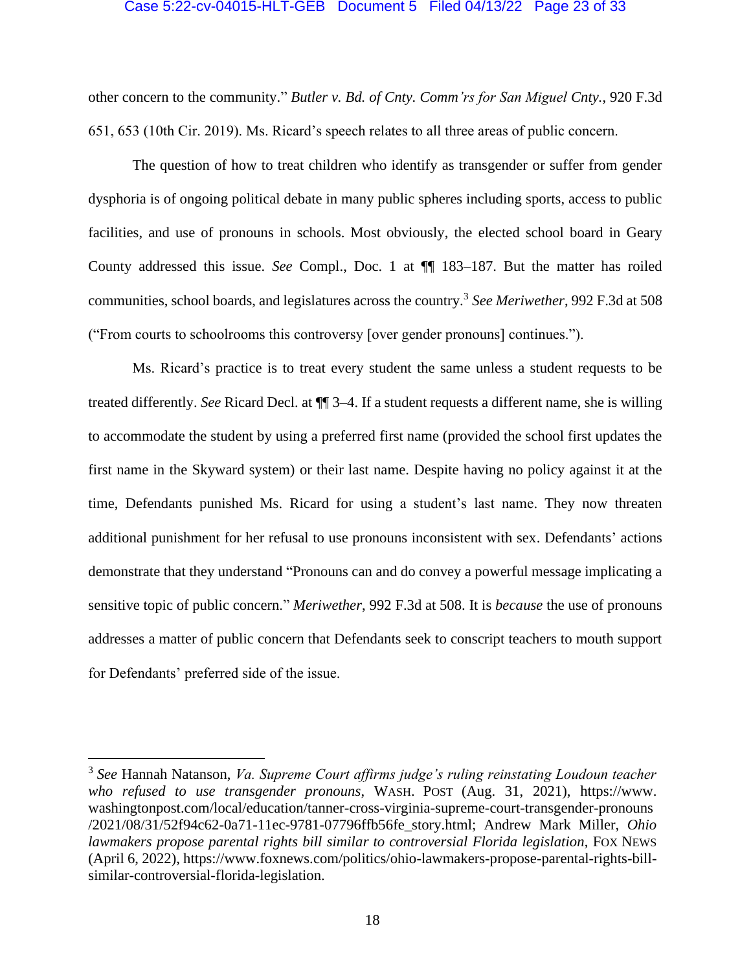#### Case 5:22-cv-04015-HLT-GEB Document 5 Filed 04/13/22 Page 23 of 33

other concern to the community." *Butler v. Bd. of Cnty. Comm'rs for San Miguel Cnty.*, 920 F.3d 651, 653 (10th Cir. 2019). Ms. Ricard's speech relates to all three areas of public concern.

The question of how to treat children who identify as transgender or suffer from gender dysphoria is of ongoing political debate in many public spheres including sports, access to public facilities, and use of pronouns in schools. Most obviously, the elected school board in Geary County addressed this issue. *See* Compl., Doc. 1 at ¶¶ 183–187. But the matter has roiled communities, school boards, and legislatures across the country.<sup>3</sup> *See Meriwether*, 992 F.3d at 508 ("From courts to schoolrooms this controversy [over gender pronouns] continues.").

Ms. Ricard's practice is to treat every student the same unless a student requests to be treated differently. *See* Ricard Decl. at ¶¶ 3–4. If a student requests a different name, she is willing to accommodate the student by using a preferred first name (provided the school first updates the first name in the Skyward system) or their last name. Despite having no policy against it at the time, Defendants punished Ms. Ricard for using a student's last name. They now threaten additional punishment for her refusal to use pronouns inconsistent with sex. Defendants' actions demonstrate that they understand "Pronouns can and do convey a powerful message implicating a sensitive topic of public concern." *Meriwether*, 992 F.3d at 508. It is *because* the use of pronouns addresses a matter of public concern that Defendants seek to conscript teachers to mouth support for Defendants' preferred side of the issue.

<sup>3</sup> *See* Hannah Natanson, *Va. Supreme Court affirms judge's ruling reinstating Loudoun teacher who refused to use transgender pronouns*, WASH. POST (Aug. 31, 2021), https://www. washingtonpost.com/local/education/tanner-cross-virginia-supreme-court-transgender-pronouns /2021/08/31/52f94c62-0a71-11ec-9781-07796ffb56fe\_story.html; Andrew Mark Miller, *Ohio lawmakers propose parental rights bill similar to controversial Florida legislation*, FOX NEWS (April 6, 2022), https://www.foxnews.com/politics/ohio-lawmakers-propose-parental-rights-billsimilar-controversial-florida-legislation.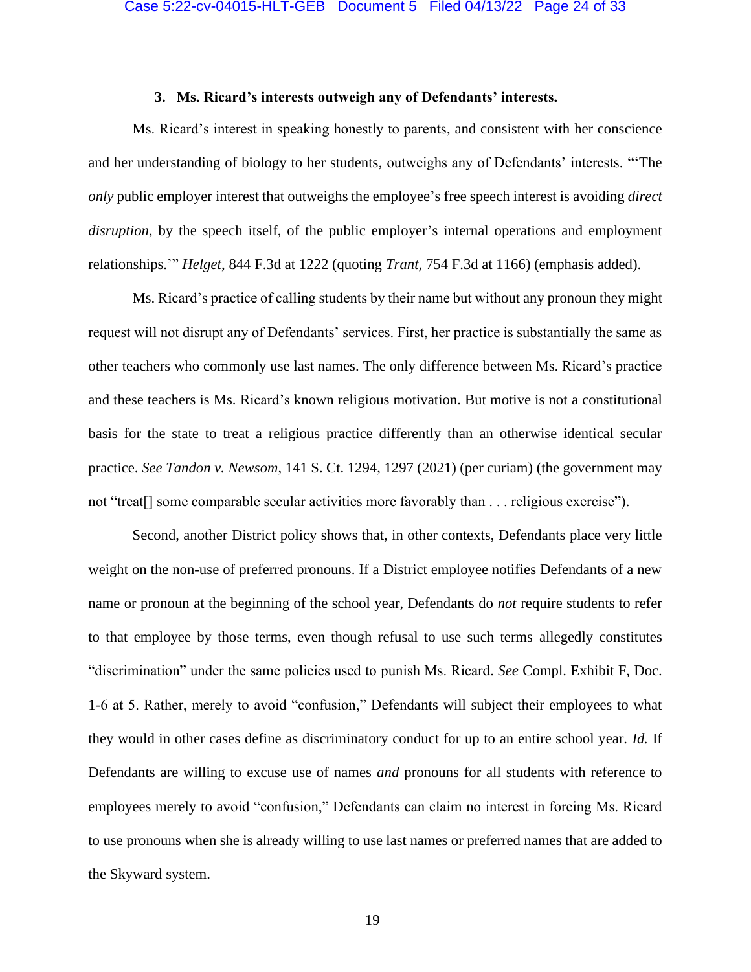### **3. Ms. Ricard's interests outweigh any of Defendants' interests.**

<span id="page-23-0"></span>Ms. Ricard's interest in speaking honestly to parents, and consistent with her conscience and her understanding of biology to her students, outweighs any of Defendants' interests. "'The *only* public employer interest that outweighs the employee's free speech interest is avoiding *direct disruption*, by the speech itself, of the public employer's internal operations and employment relationships.'" *Helget*, 844 F.3d at 1222 (quoting *Trant,* 754 F.3d at 1166) (emphasis added).

Ms. Ricard's practice of calling students by their name but without any pronoun they might request will not disrupt any of Defendants' services. First, her practice is substantially the same as other teachers who commonly use last names. The only difference between Ms. Ricard's practice and these teachers is Ms. Ricard's known religious motivation. But motive is not a constitutional basis for the state to treat a religious practice differently than an otherwise identical secular practice. *See Tandon v. Newsom*, 141 S. Ct. 1294, 1297 (2021) (per curiam) (the government may not "treat<sup>[]</sup> some comparable secular activities more favorably than . . . religious exercise").

Second, another District policy shows that, in other contexts, Defendants place very little weight on the non-use of preferred pronouns. If a District employee notifies Defendants of a new name or pronoun at the beginning of the school year, Defendants do *not* require students to refer to that employee by those terms, even though refusal to use such terms allegedly constitutes "discrimination" under the same policies used to punish Ms. Ricard. *See* Compl. Exhibit F, Doc. 1-6 at 5. Rather, merely to avoid "confusion," Defendants will subject their employees to what they would in other cases define as discriminatory conduct for up to an entire school year. *Id.* If Defendants are willing to excuse use of names *and* pronouns for all students with reference to employees merely to avoid "confusion," Defendants can claim no interest in forcing Ms. Ricard to use pronouns when she is already willing to use last names or preferred names that are added to the Skyward system.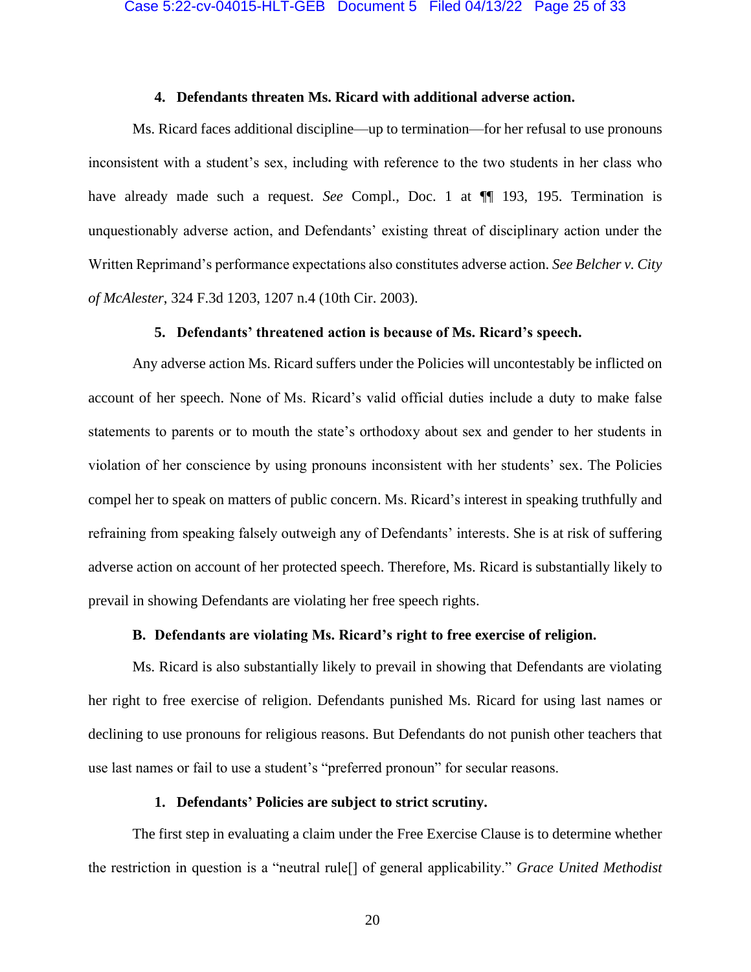### **4. Defendants threaten Ms. Ricard with additional adverse action.**

<span id="page-24-0"></span>Ms. Ricard faces additional discipline—up to termination—for her refusal to use pronouns inconsistent with a student's sex, including with reference to the two students in her class who have already made such a request. *See* Compl., Doc. 1 at **[1]** 193, 195. Termination is unquestionably adverse action, and Defendants' existing threat of disciplinary action under the Written Reprimand's performance expectations also constitutes adverse action. *See Belcher v. City of McAlester*, 324 F.3d 1203, 1207 n.4 (10th Cir. 2003).

# **5. Defendants' threatened action is because of Ms. Ricard's speech.**

<span id="page-24-1"></span>Any adverse action Ms. Ricard suffers under the Policies will uncontestably be inflicted on account of her speech. None of Ms. Ricard's valid official duties include a duty to make false statements to parents or to mouth the state's orthodoxy about sex and gender to her students in violation of her conscience by using pronouns inconsistent with her students' sex. The Policies compel her to speak on matters of public concern. Ms. Ricard's interest in speaking truthfully and refraining from speaking falsely outweigh any of Defendants' interests. She is at risk of suffering adverse action on account of her protected speech. Therefore, Ms. Ricard is substantially likely to prevail in showing Defendants are violating her free speech rights.

### **B. Defendants are violating Ms. Ricard's right to free exercise of religion.**

<span id="page-24-2"></span>Ms. Ricard is also substantially likely to prevail in showing that Defendants are violating her right to free exercise of religion. Defendants punished Ms. Ricard for using last names or declining to use pronouns for religious reasons. But Defendants do not punish other teachers that use last names or fail to use a student's "preferred pronoun" for secular reasons.

### **1. Defendants' Policies are subject to strict scrutiny.**

<span id="page-24-3"></span>The first step in evaluating a claim under the Free Exercise Clause is to determine whether the restriction in question is a "neutral rule[] of general applicability." *Grace United Methodist*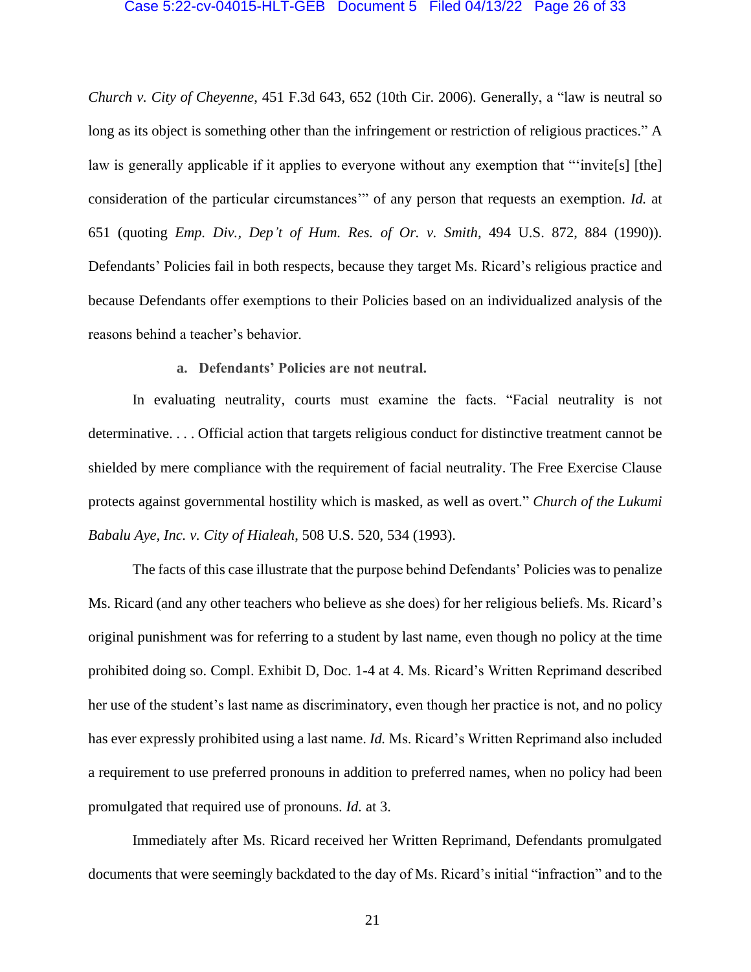#### Case 5:22-cv-04015-HLT-GEB Document 5 Filed 04/13/22 Page 26 of 33

*Church v. City of Cheyenne*, 451 F.3d 643, 652 (10th Cir. 2006). Generally, a "law is neutral so long as its object is something other than the infringement or restriction of religious practices." A law is generally applicable if it applies to everyone without any exemption that "'invite<sup>[5]</sup> [the] consideration of the particular circumstances'" of any person that requests an exemption. *Id.* at 651 (quoting *Emp. Div., Dep't of Hum. Res. of Or. v. Smith*, 494 U.S. 872, 884 (1990)). Defendants' Policies fail in both respects, because they target Ms. Ricard's religious practice and because Defendants offer exemptions to their Policies based on an individualized analysis of the reasons behind a teacher's behavior.

**a. Defendants' Policies are not neutral.**

In evaluating neutrality, courts must examine the facts. "Facial neutrality is not determinative. . . . Official action that targets religious conduct for distinctive treatment cannot be shielded by mere compliance with the requirement of facial neutrality. The Free Exercise Clause protects against governmental hostility which is masked, as well as overt." *Church of the Lukumi Babalu Aye, Inc. v. City of Hialeah*, 508 U.S. 520, 534 (1993).

The facts of this case illustrate that the purpose behind Defendants' Policies was to penalize Ms. Ricard (and any other teachers who believe as she does) for her religious beliefs. Ms. Ricard's original punishment was for referring to a student by last name, even though no policy at the time prohibited doing so. Compl. Exhibit D, Doc. 1-4 at 4. Ms. Ricard's Written Reprimand described her use of the student's last name as discriminatory, even though her practice is not, and no policy has ever expressly prohibited using a last name. *Id.* Ms. Ricard's Written Reprimand also included a requirement to use preferred pronouns in addition to preferred names, when no policy had been promulgated that required use of pronouns. *Id.* at 3.

Immediately after Ms. Ricard received her Written Reprimand, Defendants promulgated documents that were seemingly backdated to the day of Ms. Ricard's initial "infraction" and to the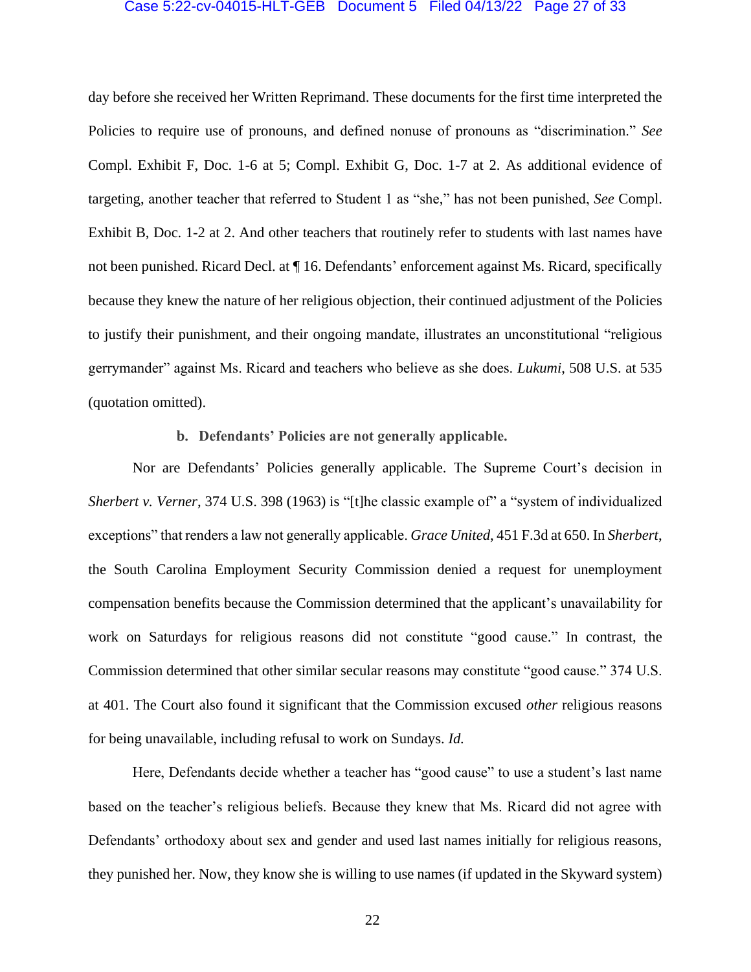#### Case 5:22-cv-04015-HLT-GEB Document 5 Filed 04/13/22 Page 27 of 33

day before she received her Written Reprimand. These documents for the first time interpreted the Policies to require use of pronouns, and defined nonuse of pronouns as "discrimination." *See* Compl. Exhibit F, Doc. 1-6 at 5; Compl. Exhibit G, Doc. 1-7 at 2. As additional evidence of targeting, another teacher that referred to Student 1 as "she," has not been punished, *See* Compl. Exhibit B, Doc. 1-2 at 2. And other teachers that routinely refer to students with last names have not been punished. Ricard Decl. at ¶ 16. Defendants' enforcement against Ms. Ricard, specifically because they knew the nature of her religious objection, their continued adjustment of the Policies to justify their punishment, and their ongoing mandate, illustrates an unconstitutional "religious gerrymander" against Ms. Ricard and teachers who believe as she does. *Lukumi*, 508 U.S. at 535 (quotation omitted).

### **b. Defendants' Policies are not generally applicable.**

Nor are Defendants' Policies generally applicable. The Supreme Court's decision in *Sherbert v. Verner*, 374 U.S. 398 (1963) is "[t]he classic example of" a "system of individualized exceptions" that renders a law not generally applicable. *Grace United*, 451 F.3d at 650. In *Sherbert*, the South Carolina Employment Security Commission denied a request for unemployment compensation benefits because the Commission determined that the applicant's unavailability for work on Saturdays for religious reasons did not constitute "good cause." In contrast, the Commission determined that other similar secular reasons may constitute "good cause." 374 U.S. at 401. The Court also found it significant that the Commission excused *other* religious reasons for being unavailable, including refusal to work on Sundays. *Id.*

Here, Defendants decide whether a teacher has "good cause" to use a student's last name based on the teacher's religious beliefs. Because they knew that Ms. Ricard did not agree with Defendants' orthodoxy about sex and gender and used last names initially for religious reasons, they punished her. Now, they know she is willing to use names (if updated in the Skyward system)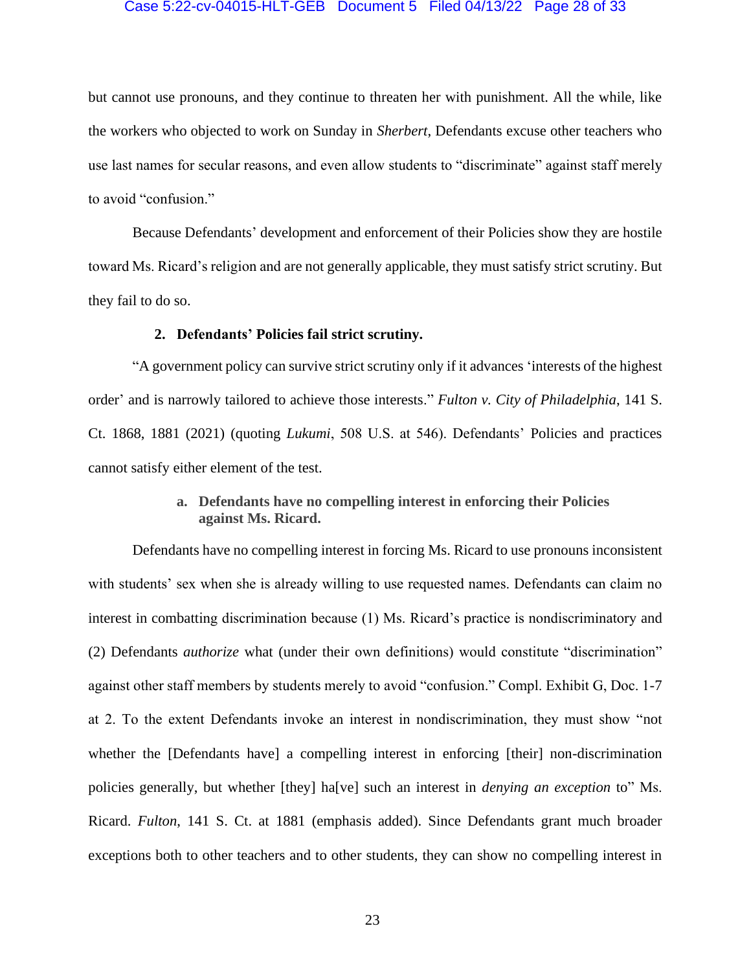#### Case 5:22-cv-04015-HLT-GEB Document 5 Filed 04/13/22 Page 28 of 33

but cannot use pronouns, and they continue to threaten her with punishment. All the while, like the workers who objected to work on Sunday in *Sherbert*, Defendants excuse other teachers who use last names for secular reasons, and even allow students to "discriminate" against staff merely to avoid "confusion."

Because Defendants' development and enforcement of their Policies show they are hostile toward Ms. Ricard's religion and are not generally applicable, they must satisfy strict scrutiny. But they fail to do so.

#### **2. Defendants' Policies fail strict scrutiny.**

<span id="page-27-0"></span>"A government policy can survive strict scrutiny only if it advances 'interests of the highest order' and is narrowly tailored to achieve those interests." *Fulton v. City of Philadelphia*, 141 S. Ct. 1868, 1881 (2021) (quoting *Lukumi*, 508 U.S. at 546). Defendants' Policies and practices cannot satisfy either element of the test.

# **a. Defendants have no compelling interest in enforcing their Policies against Ms. Ricard.**

Defendants have no compelling interest in forcing Ms. Ricard to use pronouns inconsistent with students' sex when she is already willing to use requested names. Defendants can claim no interest in combatting discrimination because (1) Ms. Ricard's practice is nondiscriminatory and (2) Defendants *authorize* what (under their own definitions) would constitute "discrimination" against other staff members by students merely to avoid "confusion." Compl. Exhibit G, Doc. 1-7 at 2. To the extent Defendants invoke an interest in nondiscrimination, they must show "not whether the [Defendants have] a compelling interest in enforcing [their] non-discrimination policies generally, but whether [they] ha[ve] such an interest in *denying an exception* to" Ms. Ricard. *Fulton*, 141 S. Ct. at 1881 (emphasis added). Since Defendants grant much broader exceptions both to other teachers and to other students, they can show no compelling interest in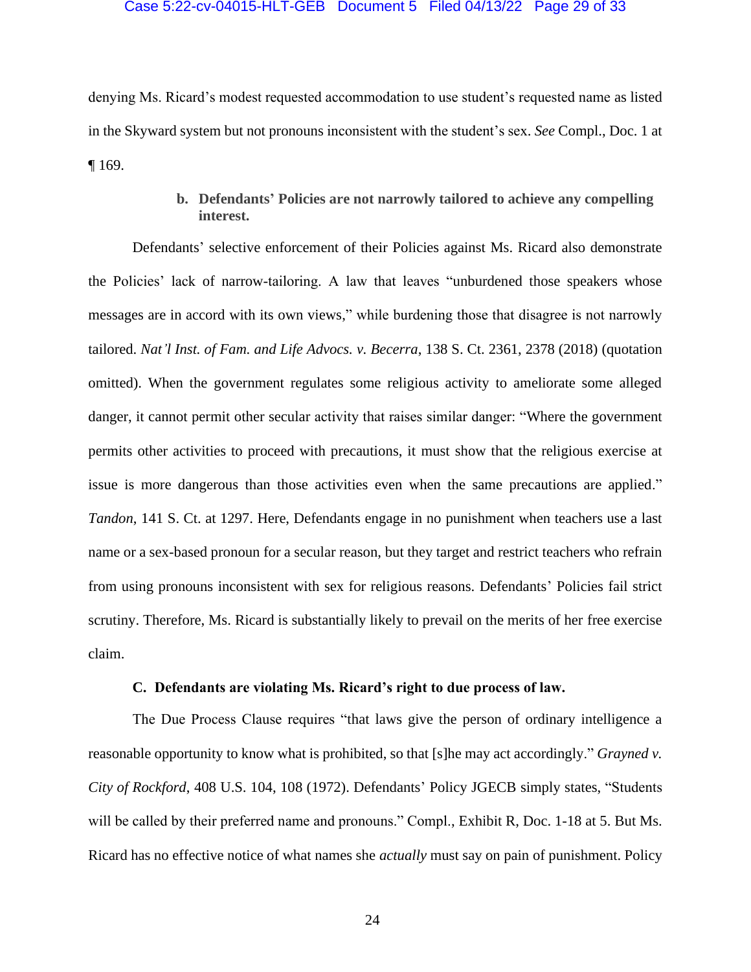#### Case 5:22-cv-04015-HLT-GEB Document 5 Filed 04/13/22 Page 29 of 33

denying Ms. Ricard's modest requested accommodation to use student's requested name as listed in the Skyward system but not pronouns inconsistent with the student's sex. *See* Compl., Doc. 1 at  $\P$  169.

# **b. Defendants' Policies are not narrowly tailored to achieve any compelling interest.**

Defendants' selective enforcement of their Policies against Ms. Ricard also demonstrate the Policies' lack of narrow-tailoring. A law that leaves "unburdened those speakers whose messages are in accord with its own views," while burdening those that disagree is not narrowly tailored. *Nat'l Inst. of Fam. and Life Advocs. v. Becerra*, 138 S. Ct. 2361, 2378 (2018) (quotation omitted). When the government regulates some religious activity to ameliorate some alleged danger, it cannot permit other secular activity that raises similar danger: "Where the government permits other activities to proceed with precautions, it must show that the religious exercise at issue is more dangerous than those activities even when the same precautions are applied." *Tandon*, 141 S. Ct. at 1297. Here, Defendants engage in no punishment when teachers use a last name or a sex-based pronoun for a secular reason, but they target and restrict teachers who refrain from using pronouns inconsistent with sex for religious reasons. Defendants' Policies fail strict scrutiny. Therefore, Ms. Ricard is substantially likely to prevail on the merits of her free exercise claim.

# **C. Defendants are violating Ms. Ricard's right to due process of law.**

<span id="page-28-0"></span>The Due Process Clause requires "that laws give the person of ordinary intelligence a reasonable opportunity to know what is prohibited, so that [s]he may act accordingly." *Grayned v. City of Rockford*, 408 U.S. 104, 108 (1972). Defendants' Policy JGECB simply states, "Students will be called by their preferred name and pronouns." Compl., Exhibit R, Doc. 1-18 at 5. But Ms. Ricard has no effective notice of what names she *actually* must say on pain of punishment. Policy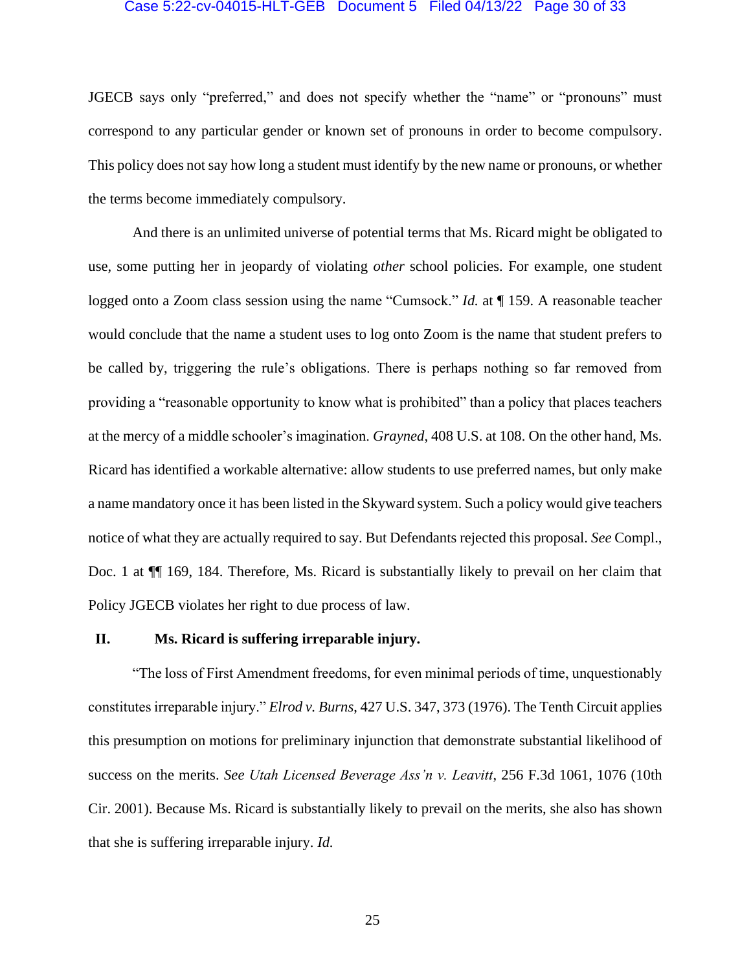#### Case 5:22-cv-04015-HLT-GEB Document 5 Filed 04/13/22 Page 30 of 33

JGECB says only "preferred," and does not specify whether the "name" or "pronouns" must correspond to any particular gender or known set of pronouns in order to become compulsory. This policy does not say how long a student must identify by the new name or pronouns, or whether the terms become immediately compulsory.

And there is an unlimited universe of potential terms that Ms. Ricard might be obligated to use, some putting her in jeopardy of violating *other* school policies. For example, one student logged onto a Zoom class session using the name "Cumsock." *Id.* at ¶ 159. A reasonable teacher would conclude that the name a student uses to log onto Zoom is the name that student prefers to be called by, triggering the rule's obligations. There is perhaps nothing so far removed from providing a "reasonable opportunity to know what is prohibited" than a policy that places teachers at the mercy of a middle schooler's imagination. *Grayned*, 408 U.S. at 108. On the other hand, Ms. Ricard has identified a workable alternative: allow students to use preferred names, but only make a name mandatory once it has been listed in the Skyward system. Such a policy would give teachers notice of what they are actually required to say. But Defendants rejected this proposal. *See* Compl., Doc. 1 at  $\P$  169, 184. Therefore, Ms. Ricard is substantially likely to prevail on her claim that Policy JGECB violates her right to due process of law.

### <span id="page-29-0"></span>**II. Ms. Ricard is suffering irreparable injury.**

"The loss of First Amendment freedoms, for even minimal periods of time, unquestionably constitutes irreparable injury." *Elrod v. Burns*, 427 U.S. 347, 373 (1976). The Tenth Circuit applies this presumption on motions for preliminary injunction that demonstrate substantial likelihood of success on the merits. *See Utah Licensed Beverage Ass'n v. Leavitt*, 256 F.3d 1061, 1076 (10th Cir. 2001). Because Ms. Ricard is substantially likely to prevail on the merits, she also has shown that she is suffering irreparable injury. *Id.*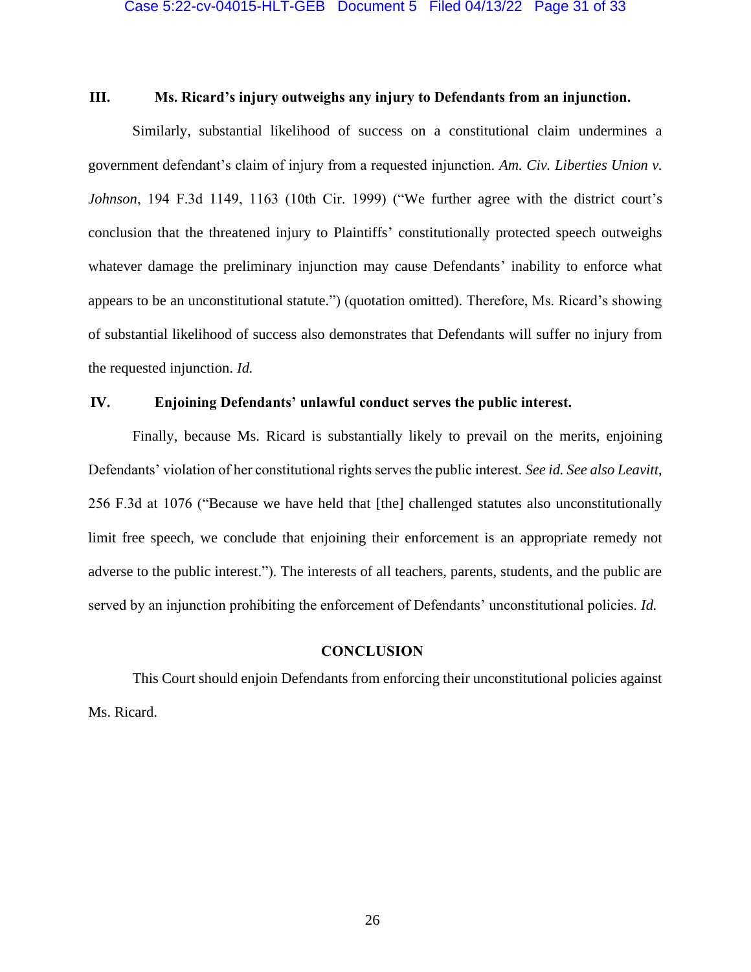# <span id="page-30-0"></span>**III. Ms. Ricard's injury outweighs any injury to Defendants from an injunction.**

Similarly, substantial likelihood of success on a constitutional claim undermines a government defendant's claim of injury from a requested injunction. *Am. Civ. Liberties Union v. Johnson*, 194 F.3d 1149, 1163 (10th Cir. 1999) ("We further agree with the district court's conclusion that the threatened injury to Plaintiffs' constitutionally protected speech outweighs whatever damage the preliminary injunction may cause Defendants' inability to enforce what appears to be an unconstitutional statute.") (quotation omitted). Therefore, Ms. Ricard's showing of substantial likelihood of success also demonstrates that Defendants will suffer no injury from the requested injunction. *Id.*

# <span id="page-30-1"></span>**IV. Enjoining Defendants' unlawful conduct serves the public interest.**

Finally, because Ms. Ricard is substantially likely to prevail on the merits, enjoining Defendants' violation of her constitutional rights serves the public interest. *See id. See also Leavitt*, 256 F.3d at 1076 ("Because we have held that [the] challenged statutes also unconstitutionally limit free speech, we conclude that enjoining their enforcement is an appropriate remedy not adverse to the public interest."). The interests of all teachers, parents, students, and the public are served by an injunction prohibiting the enforcement of Defendants' unconstitutional policies. *Id.*

### **CONCLUSION**

<span id="page-30-2"></span>This Court should enjoin Defendants from enforcing their unconstitutional policies against Ms. Ricard.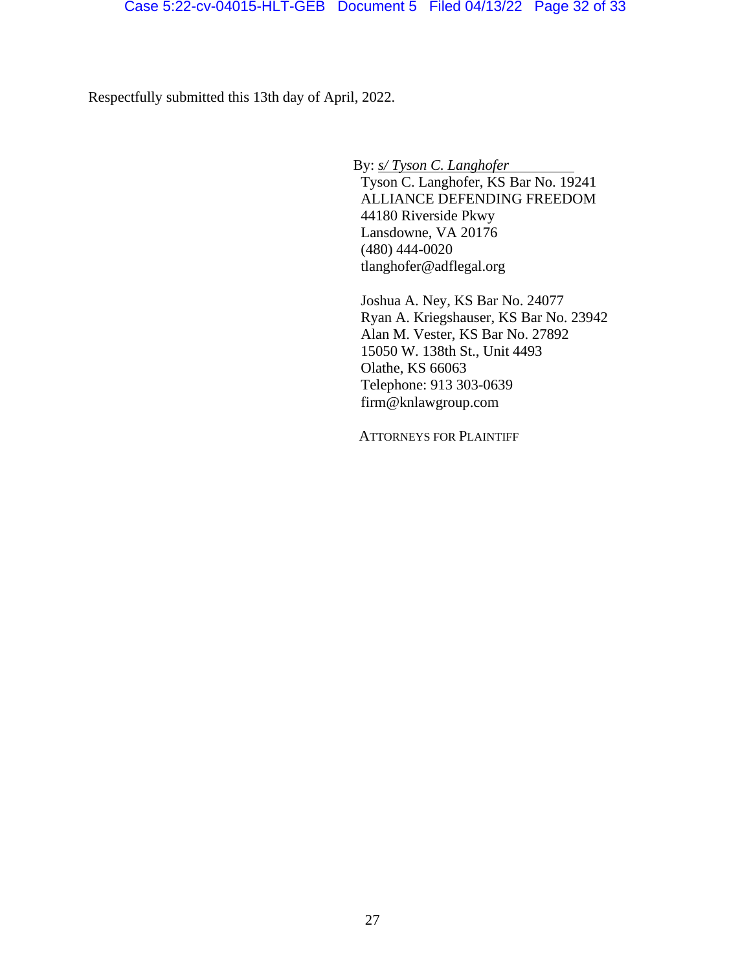Respectfully submitted this 13th day of April, 2022.

By: *s/ Tyson C. Langhofer* Tyson C. Langhofer, KS Bar No. 19241 ALLIANCE DEFENDING FREEDOM 44180 Riverside Pkwy Lansdowne, VA 20176 (480) 444-0020 tlanghofer@adflegal.org

Joshua A. Ney, KS Bar No. 24077 Ryan A. Kriegshauser, KS Bar No. 23942 Alan M. Vester, KS Bar No. 27892 15050 W. 138th St., Unit 4493 Olathe, KS 66063 Telephone: 913 303-0639 firm@knlawgroup.com

ATTORNEYS FOR PLAINTIFF